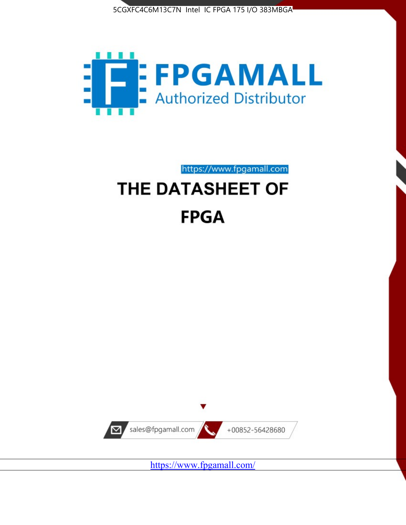



# https://www.fpgamall.com THE DATASHEET OF **FPGA**



<https://www.fpgamall.com/>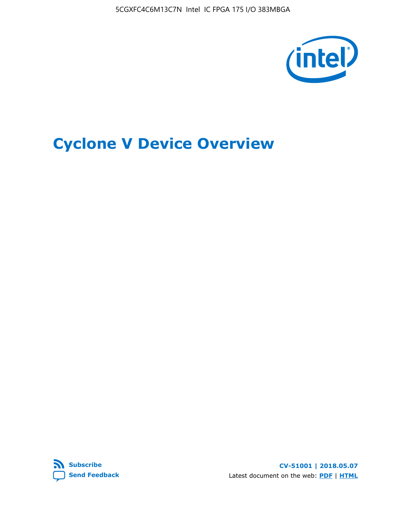5CGXFC4C6M13C7N Intel IC FPGA 175 I/O 383MBGA



# **Cyclone V Device Overview**



**CV-51001 | 2018.05.07** Latest document on the web: **[PDF](https://www.altera.com/en_US/pdfs/literature/hb/cyclone-v/cv_51001.pdf)** | **[HTML](https://www.altera.com/documentation/sam1403480548153.html)**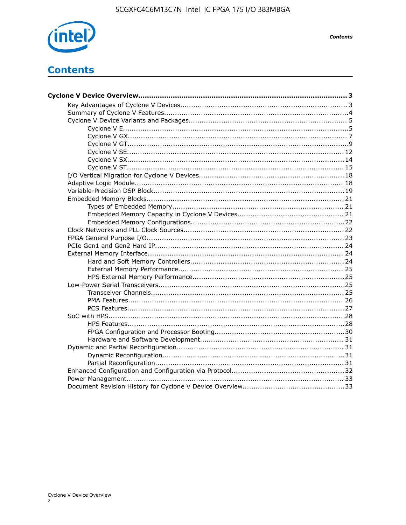

**Contents** 

## **Contents**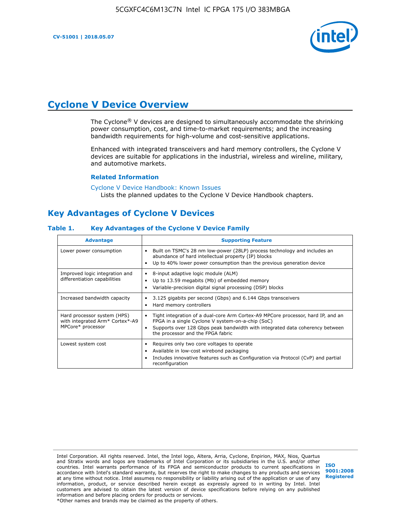**CV-51001 | 2018.05.07**



## **Cyclone V Device Overview**

The Cyclone® V devices are designed to simultaneously accommodate the shrinking power consumption, cost, and time-to-market requirements; and the increasing bandwidth requirements for high-volume and cost-sensitive applications.

Enhanced with integrated transceivers and hard memory controllers, the Cyclone V devices are suitable for applications in the industrial, wireless and wireline, military, and automotive markets.

#### **Related Information**

#### [Cyclone V Device Handbook: Known Issues](https://www.altera.com/support/support-resources/knowledge-base/solutions/rd12152011_347.html) Lists the planned updates to the Cyclone V Device Handbook chapters.

## **Key Advantages of Cyclone V Devices**

#### **Table 1. Key Advantages of the Cyclone V Device Family**

| <b>Advantage</b>                                                                    | <b>Supporting Feature</b>                                                                                                                                                                                                                                                    |
|-------------------------------------------------------------------------------------|------------------------------------------------------------------------------------------------------------------------------------------------------------------------------------------------------------------------------------------------------------------------------|
| Lower power consumption                                                             | Built on TSMC's 28 nm low-power (28LP) process technology and includes an<br>٠<br>abundance of hard intellectual property (IP) blocks<br>Up to 40% lower power consumption than the previous generation device<br>٠                                                          |
| Improved logic integration and<br>differentiation capabilities                      | 8-input adaptive logic module (ALM)<br>٠<br>Up to 13.59 megabits (Mb) of embedded memory<br>٠<br>Variable-precision digital signal processing (DSP) blocks<br>٠                                                                                                              |
| Increased bandwidth capacity                                                        | 3.125 gigabits per second (Gbps) and 6.144 Gbps transceivers<br>٠<br>Hard memory controllers<br>٠                                                                                                                                                                            |
| Hard processor system (HPS)<br>with integrated Arm* Cortex*-A9<br>MPCore* processor | Tight integration of a dual-core Arm Cortex-A9 MPCore processor, hard IP, and an<br>$\bullet$<br>FPGA in a single Cyclone V system-on-a-chip (SoC)<br>Supports over 128 Gbps peak bandwidth with integrated data coherency between<br>٠<br>the processor and the FPGA fabric |
| Lowest system cost                                                                  | Requires only two core voltages to operate<br>٠<br>Available in low-cost wirebond packaging<br>٠<br>Includes innovative features such as Configuration via Protocol (CvP) and partial<br>٠<br>reconfiguration                                                                |

Intel Corporation. All rights reserved. Intel, the Intel logo, Altera, Arria, Cyclone, Enpirion, MAX, Nios, Quartus and Stratix words and logos are trademarks of Intel Corporation or its subsidiaries in the U.S. and/or other countries. Intel warrants performance of its FPGA and semiconductor products to current specifications in accordance with Intel's standard warranty, but reserves the right to make changes to any products and services at any time without notice. Intel assumes no responsibility or liability arising out of the application or use of any information, product, or service described herein except as expressly agreed to in writing by Intel. Intel customers are advised to obtain the latest version of device specifications before relying on any published information and before placing orders for products or services. \*Other names and brands may be claimed as the property of others.

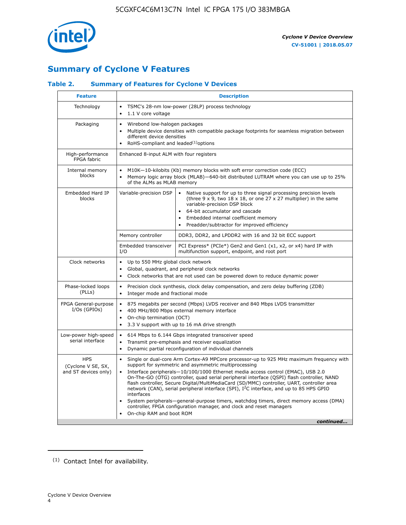

## **Summary of Cyclone V Features**

### **Table 2. Summary of Features for Cyclone V Devices**

| <b>Feature</b>                                           |                                                                                                                                                                                                              | <b>Description</b>                                                                                                                                                                                                                                                                                                                                                                                                                                                                                                                                                                                                                                                                                      |  |  |  |  |  |
|----------------------------------------------------------|--------------------------------------------------------------------------------------------------------------------------------------------------------------------------------------------------------------|---------------------------------------------------------------------------------------------------------------------------------------------------------------------------------------------------------------------------------------------------------------------------------------------------------------------------------------------------------------------------------------------------------------------------------------------------------------------------------------------------------------------------------------------------------------------------------------------------------------------------------------------------------------------------------------------------------|--|--|--|--|--|
| Technology                                               | $\bullet$<br>1.1 V core voltage                                                                                                                                                                              | TSMC's 28-nm low-power (28LP) process technology                                                                                                                                                                                                                                                                                                                                                                                                                                                                                                                                                                                                                                                        |  |  |  |  |  |
| Packaging                                                | $\bullet$                                                                                                                                                                                                    | Wirebond low-halogen packages<br>Multiple device densities with compatible package footprints for seamless migration between<br>different device densities<br>RoHS-compliant and leaded $(1)$ options                                                                                                                                                                                                                                                                                                                                                                                                                                                                                                   |  |  |  |  |  |
| High-performance<br>FPGA fabric                          | Enhanced 8-input ALM with four registers                                                                                                                                                                     |                                                                                                                                                                                                                                                                                                                                                                                                                                                                                                                                                                                                                                                                                                         |  |  |  |  |  |
| Internal memory<br>blocks                                | of the ALMs as MLAB memory                                                                                                                                                                                   | M10K-10-kilobits (Kb) memory blocks with soft error correction code (ECC)<br>Memory logic array block (MLAB)-640-bit distributed LUTRAM where you can use up to 25%                                                                                                                                                                                                                                                                                                                                                                                                                                                                                                                                     |  |  |  |  |  |
| Embedded Hard IP<br>blocks                               | Variable-precision DSP                                                                                                                                                                                       | Native support for up to three signal processing precision levels<br>(three $9 \times 9$ , two $18 \times 18$ , or one $27 \times 27$ multiplier) in the same<br>variable-precision DSP block<br>64-bit accumulator and cascade<br>Embedded internal coefficient memory<br>Preadder/subtractor for improved efficiency                                                                                                                                                                                                                                                                                                                                                                                  |  |  |  |  |  |
|                                                          | Memory controller                                                                                                                                                                                            | DDR3, DDR2, and LPDDR2 with 16 and 32 bit ECC support                                                                                                                                                                                                                                                                                                                                                                                                                                                                                                                                                                                                                                                   |  |  |  |  |  |
|                                                          | Embedded transceiver<br>I/O                                                                                                                                                                                  | PCI Express* (PCIe*) Gen2 and Gen1 (x1, x2, or x4) hard IP with<br>multifunction support, endpoint, and root port                                                                                                                                                                                                                                                                                                                                                                                                                                                                                                                                                                                       |  |  |  |  |  |
| Clock networks                                           | Up to 550 MHz global clock network<br>$\bullet$<br>Global, quadrant, and peripheral clock networks<br>$\bullet$<br>Clock networks that are not used can be powered down to reduce dynamic power<br>$\bullet$ |                                                                                                                                                                                                                                                                                                                                                                                                                                                                                                                                                                                                                                                                                                         |  |  |  |  |  |
| Phase-locked loops<br>(PLLs)                             | $\bullet$<br>Integer mode and fractional mode<br>$\bullet$                                                                                                                                                   | Precision clock synthesis, clock delay compensation, and zero delay buffering (ZDB)                                                                                                                                                                                                                                                                                                                                                                                                                                                                                                                                                                                                                     |  |  |  |  |  |
| FPGA General-purpose<br>$I/Os$ (GPIOs)                   | $\bullet$<br>$\bullet$<br>On-chip termination (OCT)<br>$\bullet$                                                                                                                                             | 875 megabits per second (Mbps) LVDS receiver and 840 Mbps LVDS transmitter<br>400 MHz/800 Mbps external memory interface<br>3.3 V support with up to 16 mA drive strength                                                                                                                                                                                                                                                                                                                                                                                                                                                                                                                               |  |  |  |  |  |
| Low-power high-speed<br>serial interface                 | $\bullet$<br>$\bullet$<br>$\bullet$                                                                                                                                                                          | 614 Mbps to 6.144 Gbps integrated transceiver speed<br>Transmit pre-emphasis and receiver equalization<br>Dynamic partial reconfiguration of individual channels                                                                                                                                                                                                                                                                                                                                                                                                                                                                                                                                        |  |  |  |  |  |
| <b>HPS</b><br>(Cyclone V SE, SX,<br>and ST devices only) | $\bullet$<br>$\bullet$<br>interfaces<br>On-chip RAM and boot ROM                                                                                                                                             | Single or dual-core Arm Cortex-A9 MPCore processor-up to 925 MHz maximum frequency with<br>support for symmetric and asymmetric multiprocessing<br>Interface peripherals-10/100/1000 Ethernet media access control (EMAC), USB 2.0<br>On-The-GO (OTG) controller, quad serial peripheral interface (QSPI) flash controller, NAND<br>flash controller, Secure Digital/MultiMediaCard (SD/MMC) controller, UART, controller area<br>network (CAN), serial peripheral interface (SPI), I <sup>2</sup> C interface, and up to 85 HPS GPIO<br>System peripherals—general-purpose timers, watchdog timers, direct memory access (DMA)<br>controller, FPGA configuration manager, and clock and reset managers |  |  |  |  |  |
|                                                          |                                                                                                                                                                                                              | continued                                                                                                                                                                                                                                                                                                                                                                                                                                                                                                                                                                                                                                                                                               |  |  |  |  |  |

<sup>(1)</sup> Contact Intel for availability.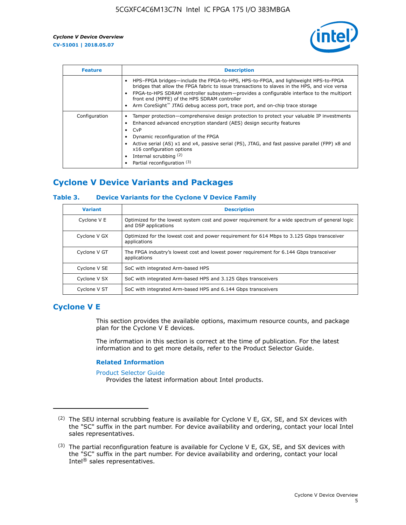

| <b>Feature</b> | <b>Description</b>                                                                                                                                                                                                                                                                                                                                                                                                           |
|----------------|------------------------------------------------------------------------------------------------------------------------------------------------------------------------------------------------------------------------------------------------------------------------------------------------------------------------------------------------------------------------------------------------------------------------------|
|                | HPS-FPGA bridges—include the FPGA-to-HPS, HPS-to-FPGA, and lightweight HPS-to-FPGA<br>bridges that allow the FPGA fabric to issue transactions to slaves in the HPS, and vice versa<br>FPGA-to-HPS SDRAM controller subsystem-provides a configurable interface to the multiport<br>front end (MPFE) of the HPS SDRAM controller<br>Arm CoreSight <sup>™</sup> JTAG debug access port, trace port, and on-chip trace storage |
| Configuration  | Tamper protection—comprehensive design protection to protect your valuable IP investments<br>Enhanced advanced encryption standard (AES) design security features<br>CvP<br>$\bullet$<br>Dynamic reconfiguration of the FPGA<br>Active serial (AS) x1 and x4, passive serial (PS), JTAG, and fast passive parallel (FPP) x8 and<br>x16 configuration options<br>Internal scrubbing (2)<br>Partial reconfiguration (3)        |

## **Cyclone V Device Variants and Packages**

#### **Table 3. Device Variants for the Cyclone V Device Family**

| <b>Variant</b> | <b>Description</b>                                                                                                      |
|----------------|-------------------------------------------------------------------------------------------------------------------------|
| Cyclone V E    | Optimized for the lowest system cost and power requirement for a wide spectrum of general logic<br>and DSP applications |
| Cyclone V GX   | Optimized for the lowest cost and power requirement for 614 Mbps to 3.125 Gbps transceiver<br>applications              |
| Cyclone V GT   | The FPGA industry's lowest cost and lowest power requirement for 6.144 Gbps transceiver<br>applications                 |
| Cyclone V SE   | SoC with integrated Arm-based HPS                                                                                       |
| Cyclone V SX   | SoC with integrated Arm-based HPS and 3.125 Gbps transceivers                                                           |
| Cyclone V ST   | SoC with integrated Arm-based HPS and 6.144 Gbps transceivers                                                           |

## **Cyclone V E**

This section provides the available options, maximum resource counts, and package plan for the Cyclone V E devices.

The information in this section is correct at the time of publication. For the latest information and to get more details, refer to the Product Selector Guide.

#### **Related Information**

[Product Selector Guide](https://www.altera.com/products/product-selector-guide.html)

Provides the latest information about Intel products.

<sup>(2)</sup> The SEU internal scrubbing feature is available for Cyclone V E, GX, SE, and SX devices with the "SC" suffix in the part number. For device availability and ordering, contact your local Intel sales representatives.

 $(3)$  The partial reconfiguration feature is available for Cyclone V E, GX, SE, and SX devices with the "SC" suffix in the part number. For device availability and ordering, contact your local Intel® sales representatives.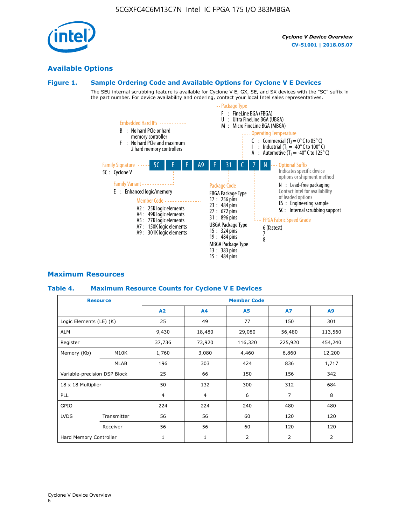Cyclone V Device Overview

6

#### **Figure 1. Sample Ordering Code and Available Options for Cyclone V E Devices**

The SEU internal scrubbing feature is available for Cyclone V E, GX, SE, and SX devices with the "SC" suffix in the part number. For device availability and ordering, contact your local Intel sales representatives.

5CGXFC4C6M13C7N Intel IC FPGA 175 I/O 383MBGA



#### **Maximum Resources**

#### **Table 4. Maximum Resource Counts for Cyclone V E Devices**

|                         | <b>Resource</b>              | <b>Member Code</b> |            |           |                |         |  |
|-------------------------|------------------------------|--------------------|------------|-----------|----------------|---------|--|
|                         |                              | A2                 | A4         | <b>A5</b> | <b>A7</b>      | A9      |  |
| Logic Elements (LE) (K) |                              | 25                 | 49         | 77        | 150            | 301     |  |
| <b>ALM</b>              |                              | 9,430              | 18,480     | 29,080    | 56,480         | 113,560 |  |
| Register                |                              | 37,736             | 73,920     | 116,320   | 225,920        | 454,240 |  |
| Memory (Kb)             | M10K                         |                    | 3,080      | 4,460     | 6,860          | 12,200  |  |
|                         | MLAB                         | 196                | 303        | 424       | 836            | 1,717   |  |
|                         | Variable-precision DSP Block |                    | 66         | 150       | 156            | 342     |  |
| 18 x 18 Multiplier      |                              | 50                 | 300<br>132 |           | 312            | 684     |  |
| <b>PLL</b>              |                              | $\overline{4}$     | 4          | 6         | $\overline{7}$ | 8       |  |
| GPIO                    |                              | 224                | 224        | 240       | 480            | 480     |  |
| <b>LVDS</b>             | Transmitter                  | 56                 | 56         | 60        | 120            | 120     |  |
|                         | Receiver                     | 56                 | 56         | 60        | 120            | 120     |  |
| Hard Memory Controller  |                              | $\mathbf{1}$       | 1          | 2         | $\overline{2}$ | 2       |  |

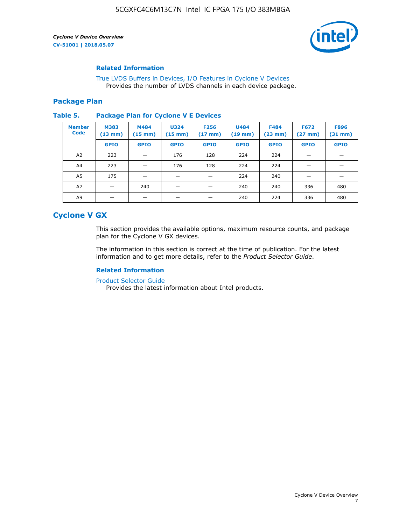

#### **Related Information**

[True LVDS Buffers in Devices, I/O Features in Cyclone V Devices](https://www.altera.com/documentation/sam1403481100977.html#sam1403480885395) Provides the number of LVDS channels in each device package.

#### **Package Plan**

#### **Table 5. Package Plan for Cyclone V E Devices**

| <b>Member</b><br><b>Code</b> | <b>M383</b><br>$(13 \text{ mm})$ | M484<br>$(15 \text{ mm})$ | <b>U324</b><br>$(15 \text{ mm})$ | <b>F256</b><br>$(17 \text{ mm})$ | <b>U484</b><br>$(19$ mm) | <b>F484</b><br>$(23$ mm $)$ | <b>F672</b><br>$(27 \, \text{mm})$ | <b>F896</b><br>$(31$ mm $)$ |
|------------------------------|----------------------------------|---------------------------|----------------------------------|----------------------------------|--------------------------|-----------------------------|------------------------------------|-----------------------------|
|                              | <b>GPIO</b>                      | <b>GPIO</b>               | <b>GPIO</b>                      | <b>GPIO</b>                      | <b>GPIO</b>              | <b>GPIO</b>                 | <b>GPIO</b>                        | <b>GPIO</b>                 |
| A2                           | 223                              |                           | 176                              | 128                              | 224                      | 224                         | –                                  |                             |
| A4                           | 223                              |                           | 176                              | 128                              | 224                      | 224                         | –                                  |                             |
| A5                           | 175                              |                           |                                  |                                  | 224                      | 240                         |                                    |                             |
| A7                           |                                  | 240                       |                                  |                                  | 240                      | 240                         | 336                                | 480                         |
| A9                           |                                  |                           |                                  |                                  | 240                      | 224                         | 336                                | 480                         |

## **Cyclone V GX**

This section provides the available options, maximum resource counts, and package plan for the Cyclone V GX devices.

The information in this section is correct at the time of publication. For the latest information and to get more details, refer to the *Product Selector Guide*.

#### **Related Information**

[Product Selector Guide](https://www.altera.com/products/product-selector-guide.html)

Provides the latest information about Intel products.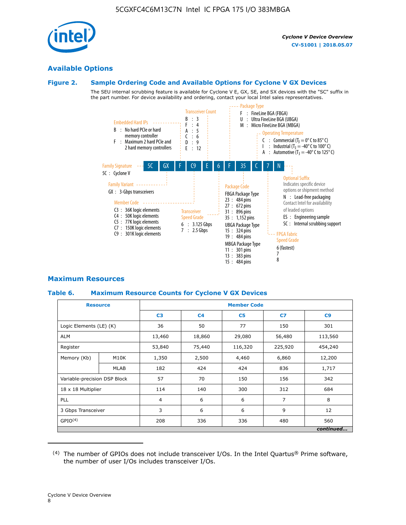

#### **Available Options**

#### **Figure 2. Sample Ordering Code and Available Options for Cyclone V GX Devices**

The SEU internal scrubbing feature is available for Cyclone V E, GX, SE, and SX devices with the "SC" suffix in the part number. For device availability and ordering, contact your local Intel sales representatives.



#### **Maximum Resources**

#### **Table 6. Maximum Resource Counts for Cyclone V GX Devices**

| <b>Resource</b>              |             | <b>Member Code</b> |                |                |                |           |  |  |
|------------------------------|-------------|--------------------|----------------|----------------|----------------|-----------|--|--|
|                              |             | C <sub>3</sub>     | C <sub>4</sub> | C <sub>5</sub> | C7             | C9        |  |  |
| Logic Elements (LE) (K)      |             | 36                 | 50             | 77             | 150            | 301       |  |  |
| <b>ALM</b>                   |             | 13,460             | 18,860         | 29,080         | 56,480         | 113,560   |  |  |
| Register                     |             | 53,840             | 75,440         | 116,320        | 225,920        | 454,240   |  |  |
| Memory (Kb)                  | M10K        | 1,350              | 2,500          | 4,460          | 6,860          | 12,200    |  |  |
|                              | <b>MLAB</b> | 182                | 424            | 424            | 836            | 1,717     |  |  |
| Variable-precision DSP Block |             | 57                 | 70             | 150            | 156            | 342       |  |  |
| 18 x 18 Multiplier           |             | 114                | 140            | 300            | 312            | 684       |  |  |
| PLL                          |             |                    | 6              | 6              | $\overline{7}$ | 8         |  |  |
| 3 Gbps Transceiver           |             | 3                  | 6              | 6              | 9              | 12        |  |  |
| GPIO <sup>(4)</sup>          |             |                    | 336            | 336            | 480            | 560       |  |  |
|                              |             |                    |                |                |                | continued |  |  |

 $(4)$  The number of GPIOs does not include transceiver I/Os. In the Intel Quartus® Prime software, the number of user I/Os includes transceiver I/Os.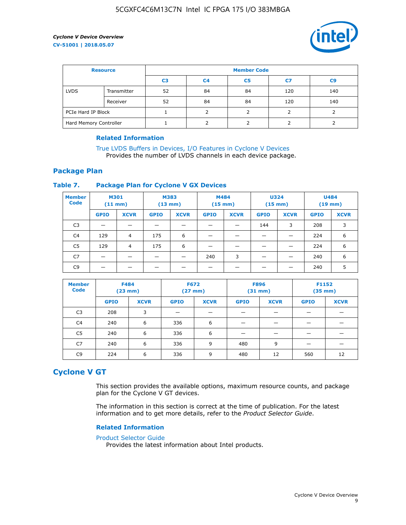

| <b>Resource</b>        |             | <b>Member Code</b> |                |                |     |                |  |  |
|------------------------|-------------|--------------------|----------------|----------------|-----|----------------|--|--|
|                        |             | C <sub>3</sub>     | C <sub>4</sub> | C <sub>5</sub> | C7  | C <sub>9</sub> |  |  |
| <b>LVDS</b>            | Transmitter | 52                 | 84             | 84             | 120 | 140            |  |  |
|                        | Receiver    | 52                 | 84             | 84             | 120 | 140            |  |  |
| PCIe Hard IP Block     |             |                    |                |                |     |                |  |  |
| Hard Memory Controller |             |                    | h              |                |     |                |  |  |

#### **Related Information**

[True LVDS Buffers in Devices, I/O Features in Cyclone V Devices](https://www.altera.com/documentation/sam1403481100977.html#sam1403480885395) Provides the number of LVDS channels in each device package.

#### **Package Plan**

#### **Table 7. Package Plan for Cyclone V GX Devices**

| <b>Member</b><br><b>Code</b> | <b>M301</b><br>$(11$ mm) |                | <b>M383</b><br>$(13 \text{ mm})$ |             | M484<br>$(15 \text{ mm})$ |             | <b>U324</b><br>$(15 \text{ mm})$ |             | <b>U484</b><br>$(19$ mm) |             |
|------------------------------|--------------------------|----------------|----------------------------------|-------------|---------------------------|-------------|----------------------------------|-------------|--------------------------|-------------|
|                              | <b>GPIO</b>              | <b>XCVR</b>    | <b>GPIO</b>                      | <b>XCVR</b> | <b>GPIO</b>               | <b>XCVR</b> | <b>GPIO</b>                      | <b>XCVR</b> | <b>GPIO</b>              | <b>XCVR</b> |
| C <sub>3</sub>               |                          |                |                                  |             |                           |             | 144                              | 3           | 208                      | 3           |
| C <sub>4</sub>               | 129                      | $\overline{4}$ | 175                              | 6           |                           |             | –                                |             | 224                      | 6           |
| C5                           | 129                      | 4              | 175                              | 6           |                           |             |                                  |             | 224                      | 6           |
| C7                           | _                        |                |                                  |             | 240                       | 3           |                                  |             | 240                      | 6           |
| C9                           |                          |                |                                  |             |                           |             |                                  |             | 240                      | 5           |

| <b>Member</b><br><b>Code</b> | <b>F484</b> | $(23$ mm)   | <b>F672</b> | $(27 \text{ mm})$ | <b>F896</b><br>$(31 \text{ mm})$ |             | F1152<br>$(35 \text{ mm})$ |             |
|------------------------------|-------------|-------------|-------------|-------------------|----------------------------------|-------------|----------------------------|-------------|
|                              | <b>GPIO</b> | <b>XCVR</b> | <b>GPIO</b> | <b>XCVR</b>       | <b>GPIO</b>                      | <b>XCVR</b> | <b>GPIO</b>                | <b>XCVR</b> |
| C <sub>3</sub>               | 208         | 3           |             |                   |                                  |             |                            |             |
| C4                           | 240         | 6           | 336         | 6                 |                                  |             |                            |             |
| C <sub>5</sub>               | 240         | 6           | 336         | 6                 |                                  |             |                            |             |
| C7                           | 240         | 6           | 336         | 9                 | 480                              | 9           |                            |             |
| C9                           | 224         | 6           | 336         | 9                 | 480                              | 12          | 560                        | 12          |

## **Cyclone V GT**

This section provides the available options, maximum resource counts, and package plan for the Cyclone V GT devices.

The information in this section is correct at the time of publication. For the latest information and to get more details, refer to the *Product Selector Guide*.

#### **Related Information**

#### [Product Selector Guide](https://www.altera.com/products/product-selector-guide.html)

Provides the latest information about Intel products.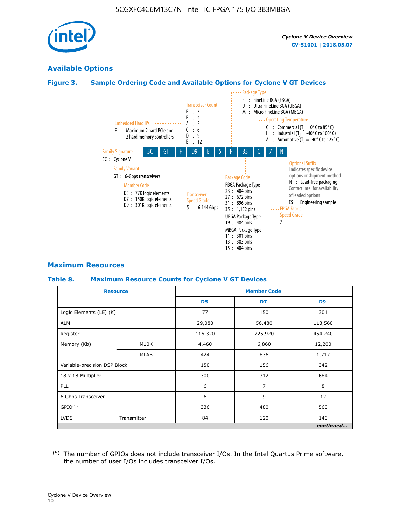

### **Available Options**

#### **Figure 3. Sample Ordering Code and Available Options for Cyclone V GT Devices**



#### **Maximum Resources**

#### **Table 8. Maximum Resource Counts for Cyclone V GT Devices**

| <b>Resource</b>              |             |                | <b>Member Code</b> |                |
|------------------------------|-------------|----------------|--------------------|----------------|
|                              |             | D <sub>5</sub> | D7                 | D <sub>9</sub> |
| Logic Elements (LE) (K)      |             | 77             | 150                | 301            |
| <b>ALM</b>                   |             | 29,080         | 56,480             | 113,560        |
| Register                     |             | 116,320        | 225,920            | 454,240        |
| Memory (Kb)                  | M10K        | 4,460          | 6,860              | 12,200         |
|                              | <b>MLAB</b> | 424            | 836                | 1,717          |
| Variable-precision DSP Block |             | 150            | 156                | 342            |
| 18 x 18 Multiplier           |             | 300            | 312                | 684            |
| PLL                          |             | 6              | 7                  | 8              |
| 6 Gbps Transceiver           |             | 6              | 9                  | 12             |
| GPIO <sup>(5)</sup>          |             | 336            | 480                | 560            |
| <b>LVDS</b>                  | Transmitter | 84             | 120                | 140            |
|                              |             |                |                    | continued      |

<sup>(5)</sup> The number of GPIOs does not include transceiver I/Os. In the Intel Quartus Prime software, the number of user I/Os includes transceiver I/Os.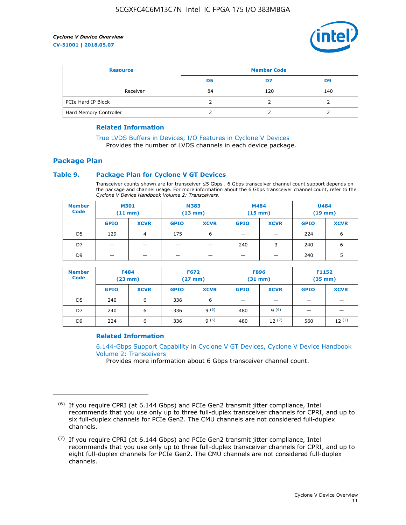

| <b>Resource</b>        |          | <b>Member Code</b> |     |     |  |  |
|------------------------|----------|--------------------|-----|-----|--|--|
|                        |          | D5                 | D7  | D9  |  |  |
|                        | Receiver | 84                 | 120 | 140 |  |  |
| PCIe Hard IP Block     |          |                    |     |     |  |  |
| Hard Memory Controller |          |                    |     |     |  |  |

#### **Related Information**

[True LVDS Buffers in Devices, I/O Features in Cyclone V Devices](https://www.altera.com/documentation/sam1403481100977.html#sam1403480885395) Provides the number of LVDS channels in each device package.

## **Package Plan**

#### **Table 9. Package Plan for Cyclone V GT Devices**

Transceiver counts shown are for transceiver ≤5 Gbps . 6 Gbps transceiver channel count support depends on the package and channel usage. For more information about the 6 Gbps transceiver channel count, refer to the *Cyclone V Device Handbook Volume 2: Transceivers*.

| <b>Member</b><br><b>Code</b> | <b>M301</b><br>(11 mm)   |                | M383<br>$(13 \text{ mm})$ |             | M484<br>$(15 \text{ mm})$ |             | <b>U484</b><br>$(19$ mm) |             |
|------------------------------|--------------------------|----------------|---------------------------|-------------|---------------------------|-------------|--------------------------|-------------|
|                              | <b>GPIO</b>              | <b>XCVR</b>    | <b>GPIO</b>               | <b>XCVR</b> | <b>GPIO</b>               | <b>XCVR</b> | <b>GPIO</b>              | <b>XCVR</b> |
| D <sub>5</sub>               | 129                      | $\overline{4}$ | 175                       | 6           | -                         | -           | 224                      | 6           |
| D7                           | -                        | -              |                           |             | 240                       | 3           | 240                      | 6           |
| D <sub>9</sub>               | $\overline{\phantom{0}}$ | _              |                           |             | -                         |             | 240                      | 5           |

| <b>Member</b><br><b>Code</b> | <b>F484</b><br>$(23$ mm) |             | <b>F672</b><br>$(27 \text{ mm})$ |             | <b>F896</b><br>$(31$ mm $)$ |             | F1152<br>$(35$ mm $)$ |             |
|------------------------------|--------------------------|-------------|----------------------------------|-------------|-----------------------------|-------------|-----------------------|-------------|
|                              | <b>GPIO</b>              | <b>XCVR</b> | <b>GPIO</b>                      | <b>XCVR</b> | <b>GPIO</b>                 | <b>XCVR</b> | <b>GPIO</b>           | <b>XCVR</b> |
| D <sub>5</sub>               | 240                      | 6           | 336                              | 6           | -                           |             |                       |             |
| D7                           | 240                      | 6           | 336                              | q(6)        | 480                         | q(6)        |                       |             |
| D <sub>9</sub>               | 224                      | 6           | 336                              | 9(6)        | 480                         | 12(7)       | 560                   | 12(7)       |

#### **Related Information**

[6.144-Gbps Support Capability in Cyclone V GT Devices, Cyclone V Device Handbook](https://www.altera.com/documentation/nik1409855456781.html#nik1409855410757) [Volume 2: Transceivers](https://www.altera.com/documentation/nik1409855456781.html#nik1409855410757)

Provides more information about 6 Gbps transceiver channel count.

<sup>(6)</sup> If you require CPRI (at 6.144 Gbps) and PCIe Gen2 transmit jitter compliance, Intel recommends that you use only up to three full-duplex transceiver channels for CPRI, and up to six full-duplex channels for PCIe Gen2. The CMU channels are not considered full-duplex channels.

 $(7)$  If you require CPRI (at 6.144 Gbps) and PCIe Gen2 transmit jitter compliance, Intel recommends that you use only up to three full-duplex transceiver channels for CPRI, and up to eight full-duplex channels for PCIe Gen2. The CMU channels are not considered full-duplex channels.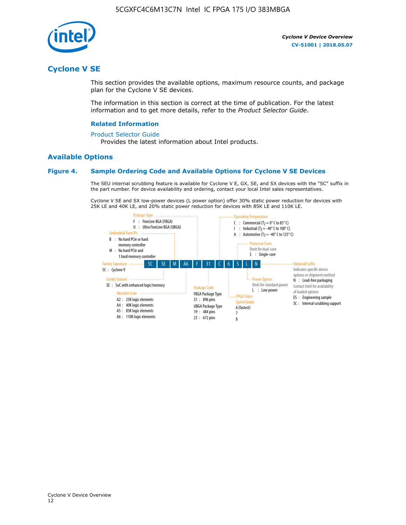

## **Cyclone V SE**

This section provides the available options, maximum resource counts, and package plan for the Cyclone V SE devices.

The information in this section is correct at the time of publication. For the latest information and to get more details, refer to the *Product Selector Guide*.

#### **Related Information**

#### [Product Selector Guide](https://www.altera.com/products/product-selector-guide.html)

Provides the latest information about Intel products.

#### **Available Options**

#### **Figure 4. Sample Ordering Code and Available Options for Cyclone V SE Devices**

The SEU internal scrubbing feature is available for Cyclone V E, GX, SE, and SX devices with the "SC" suffix in the part number. For device availability and ordering, contact your local Intel sales representatives.

Cyclone V SE and SX low-power devices (L power option) offer 30% static power reduction for devices with 25K LE and 40K LE, and 20% static power reduction for devices with 85K LE and 110K LE.

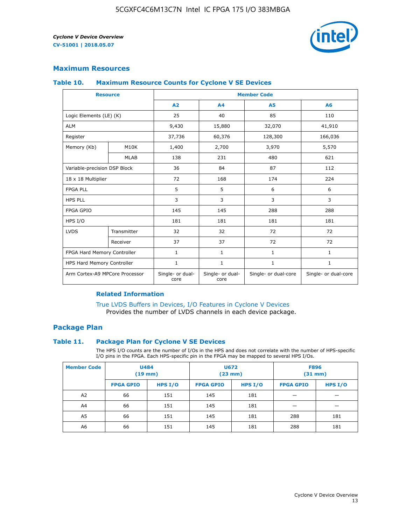

#### **Maximum Resources**

#### **Table 10. Maximum Resource Counts for Cyclone V SE Devices**

|                                | <b>Resource</b> | <b>Member Code</b>       |                          |                      |                      |  |  |
|--------------------------------|-----------------|--------------------------|--------------------------|----------------------|----------------------|--|--|
|                                |                 | A <sub>2</sub>           | A <sub>4</sub>           | <b>A5</b>            | A6                   |  |  |
| Logic Elements (LE) (K)        |                 | 25                       | 40                       | 85                   | 110                  |  |  |
| <b>ALM</b>                     |                 | 9,430                    | 15,880                   | 32,070               | 41,910               |  |  |
| Register                       |                 | 37,736                   | 60,376                   | 128,300              | 166,036              |  |  |
| Memory (Kb)                    | M10K            | 1,400                    | 2,700                    | 3,970                | 5,570                |  |  |
|                                | <b>MLAB</b>     | 138                      | 231                      | 480                  | 621                  |  |  |
| Variable-precision DSP Block   |                 | 36                       | 84                       | 87                   | 112                  |  |  |
| 18 x 18 Multiplier             |                 | 72                       | 168                      | 174                  | 224                  |  |  |
| <b>FPGA PLL</b>                |                 | 5                        | 5                        | 6                    | 6                    |  |  |
| <b>HPS PLL</b>                 |                 | 3                        | 3                        | 3                    | 3                    |  |  |
| <b>FPGA GPIO</b>               |                 | 145                      | 145                      | 288                  | 288                  |  |  |
| HPS I/O                        |                 | 181                      | 181                      | 181                  | 181                  |  |  |
| <b>LVDS</b>                    | Transmitter     | 32                       | 32                       | 72                   | 72                   |  |  |
|                                | Receiver        | 37                       | 37                       | 72                   | 72                   |  |  |
| FPGA Hard Memory Controller    |                 | 1                        | $\mathbf{1}$             | $\mathbf{1}$         | $\mathbf{1}$         |  |  |
| HPS Hard Memory Controller     |                 | $\mathbf{1}$             | $\mathbf{1}$             | $\mathbf{1}$         | $\mathbf{1}$         |  |  |
| Arm Cortex-A9 MPCore Processor |                 | Single- or dual-<br>core | Single- or dual-<br>core | Single- or dual-core | Single- or dual-core |  |  |

#### **Related Information**

[True LVDS Buffers in Devices, I/O Features in Cyclone V Devices](https://www.altera.com/documentation/sam1403481100977.html#sam1403480885395) Provides the number of LVDS channels in each device package.

#### **Package Plan**

#### **Table 11. Package Plan for Cyclone V SE Devices**

The HPS I/O counts are the number of I/Os in the HPS and does not correlate with the number of HPS-specific I/O pins in the FPGA. Each HPS-specific pin in the FPGA may be mapped to several HPS I/Os.

| <b>Member Code</b> | <b>U484</b><br>$(19$ mm) |           | U672<br>(23 mm)  |           | <b>F896</b><br>$(31$ mm $)$ |           |
|--------------------|--------------------------|-----------|------------------|-----------|-----------------------------|-----------|
|                    | <b>FPGA GPIO</b>         | HPS $I/O$ | <b>FPGA GPIO</b> | HPS $I/O$ | <b>FPGA GPIO</b>            | HPS $I/O$ |
| A <sub>2</sub>     | 66                       | 151       | 145              | 181       |                             |           |
| A4                 | 66                       | 151       | 145              | 181       |                             |           |
| A <sub>5</sub>     | 66                       | 151       | 145              | 181       | 288                         | 181       |
| A6                 | 66                       | 151       | 145              | 181       | 288                         | 181       |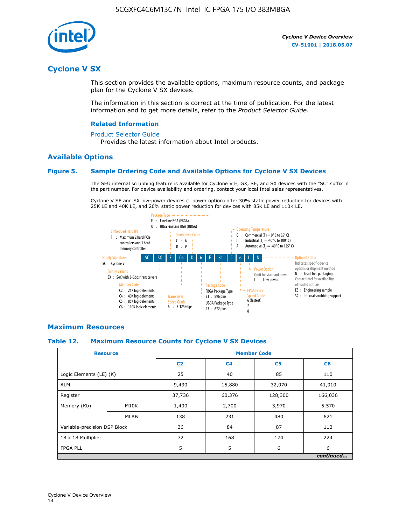

## **Cyclone V SX**

This section provides the available options, maximum resource counts, and package plan for the Cyclone V SX devices.

The information in this section is correct at the time of publication. For the latest information and to get more details, refer to the *Product Selector Guide*.

#### **Related Information**

#### [Product Selector Guide](https://www.altera.com/products/product-selector-guide.html)

Provides the latest information about Intel products.

#### **Available Options**

#### **Figure 5. Sample Ordering Code and Available Options for Cyclone V SX Devices**

The SEU internal scrubbing feature is available for Cyclone V E, GX, SE, and SX devices with the "SC" suffix in the part number. For device availability and ordering, contact your local Intel sales representatives.

Cyclone V SE and SX low-power devices (L power option) offer 30% static power reduction for devices with 25K LE and 40K LE, and 20% static power reduction for devices with 85K LE and 110K LE.



#### **Maximum Resources**

#### **Table 12. Maximum Resource Counts for Cyclone V SX Devices**

|                              | <b>Resource</b> |                | <b>Member Code</b> |                |           |  |  |
|------------------------------|-----------------|----------------|--------------------|----------------|-----------|--|--|
|                              |                 | C <sub>2</sub> | C <sub>4</sub>     | C <sub>5</sub> | C6        |  |  |
| Logic Elements (LE) (K)      |                 | 25             | 40                 | 85             | 110       |  |  |
| <b>ALM</b>                   |                 | 9,430          | 15,880             | 32,070         | 41,910    |  |  |
| Register                     |                 | 37,736         | 60,376             | 128,300        | 166,036   |  |  |
| Memory (Kb)                  | M10K            | 1,400          | 2,700              | 3,970          | 5,570     |  |  |
|                              | <b>MLAB</b>     | 138            | 231                | 480            | 621       |  |  |
| Variable-precision DSP Block |                 | 36             | 84                 | 87             | 112       |  |  |
| 18 x 18 Multiplier           |                 | 72             | 168                | 174            | 224       |  |  |
| <b>FPGA PLL</b>              |                 | 5              | 5                  | 6              | 6         |  |  |
|                              |                 |                |                    |                | continued |  |  |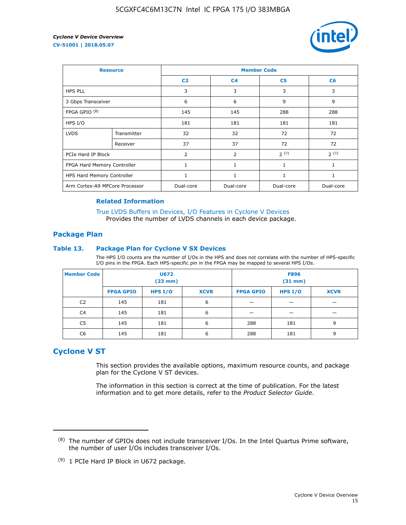

| <b>Resource</b>                |             | <b>Member Code</b> |                |                |                |  |  |
|--------------------------------|-------------|--------------------|----------------|----------------|----------------|--|--|
|                                |             | C <sub>2</sub>     | C <sub>4</sub> | C <sub>5</sub> | C <sub>6</sub> |  |  |
| <b>HPS PLL</b>                 |             | 3                  | 3              | 3              | 3              |  |  |
| 3 Gbps Transceiver             |             | 6                  | 6              | 9              | 9              |  |  |
| FPGA GPIO <sup>(8)</sup>       |             | 145                | 145            | 288            | 288            |  |  |
| HPS I/O                        |             | 181                | 181            | 181            | 181            |  |  |
| <b>LVDS</b>                    | Transmitter | 32                 | 32             | 72             | 72             |  |  |
|                                | Receiver    | 37                 | 37             | 72             | 72             |  |  |
| PCIe Hard IP Block             |             | $\overline{2}$     | 2              | 2(9)           | 2(9)           |  |  |
| FPGA Hard Memory Controller    |             | 1                  | $\mathbf{1}$   | $\mathbf{1}$   | $\mathbf{1}$   |  |  |
| HPS Hard Memory Controller     |             |                    | $\mathbf{1}$   | 1              | 1              |  |  |
| Arm Cortex-A9 MPCore Processor |             | Dual-core          | Dual-core      | Dual-core      | Dual-core      |  |  |

#### **Related Information**

[True LVDS Buffers in Devices, I/O Features in Cyclone V Devices](https://www.altera.com/documentation/sam1403481100977.html#sam1403480885395) Provides the number of LVDS channels in each device package.

#### **Package Plan**

#### **Table 13. Package Plan for Cyclone V SX Devices**

The HPS I/O counts are the number of I/Os in the HPS and does not correlate with the number of HPS-specific I/O pins in the FPGA. Each HPS-specific pin in the FPGA may be mapped to several HPS I/Os.

| <b>Member Code</b> | U672<br>(23 mm)  |         |             | <b>F896</b><br>$(31$ mm $)$ |         |             |
|--------------------|------------------|---------|-------------|-----------------------------|---------|-------------|
|                    | <b>FPGA GPIO</b> | HPS I/O | <b>XCVR</b> | <b>FPGA GPIO</b>            | HPS I/O | <b>XCVR</b> |
| C <sub>2</sub>     | 145              | 181     | 6           |                             |         |             |
| C4                 | 145              | 181     | 6           |                             |         |             |
| C <sub>5</sub>     | 145              | 181     | 6           | 288                         | 181     | 9           |
| C6                 | 145              | 181     | 6           | 288                         | 181     | 9           |

## **Cyclone V ST**

This section provides the available options, maximum resource counts, and package plan for the Cyclone V ST devices.

The information in this section is correct at the time of publication. For the latest information and to get more details, refer to the *Product Selector Guide*.

 $(8)$  The number of GPIOs does not include transceiver I/Os. In the Intel Quartus Prime software, the number of user I/Os includes transceiver I/Os.

<sup>(9)</sup> 1 PCIe Hard IP Block in U672 package.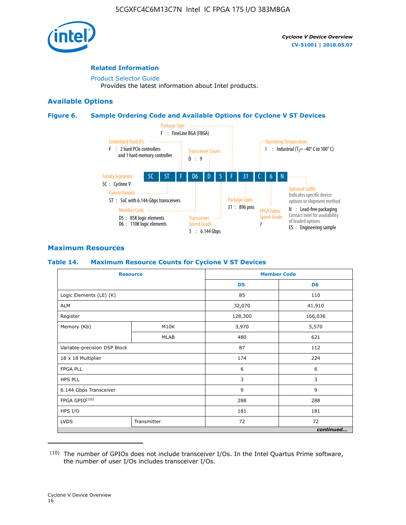

#### **Related Information**

[Product Selector Guide](https://www.altera.com/products/product-selector-guide.html) Provides the latest information about Intel products.

#### **Available Options**

#### **Figure 6. Sample Ordering Code and Available Options for Cyclone V ST Devices**



#### **Maximum Resources**

#### **Table 14. Maximum Resource Counts for Cyclone V ST Devices**

|                              | <b>Resource</b> |                | <b>Member Code</b> |
|------------------------------|-----------------|----------------|--------------------|
|                              |                 | D <sub>5</sub> | D <sub>6</sub>     |
| Logic Elements (LE) (K)      |                 | 85             | 110                |
| <b>ALM</b>                   |                 | 32,070         | 41,910             |
| Register                     |                 | 128,300        | 166,036            |
| Memory (Kb)                  | M10K            | 3,970          | 5,570              |
|                              | <b>MLAB</b>     | 480            | 621                |
| Variable-precision DSP Block |                 | 87             | 112                |
| 18 x 18 Multiplier           |                 | 174            | 224                |
| <b>FPGA PLL</b>              |                 | 6              | 6                  |
| <b>HPS PLL</b>               |                 | 3              | 3                  |
| 6.144 Gbps Transceiver       |                 | 9              | 9                  |
| FPGA GPIO(10)                |                 | 288            | 288                |
| HPS I/O                      |                 | 181            | 181                |
| <b>LVDS</b><br>Transmitter   |                 | 72             | 72                 |
|                              |                 |                | continued          |

<sup>(10)</sup> The number of GPIOs does not include transceiver I/Os. In the Intel Quartus Prime software, the number of user I/Os includes transceiver I/Os.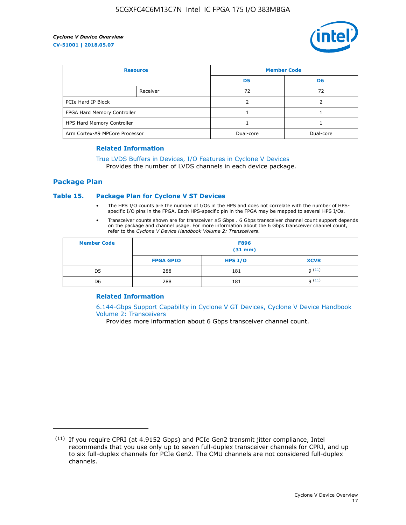

| <b>Resource</b>                |          | <b>Member Code</b> |                |  |
|--------------------------------|----------|--------------------|----------------|--|
|                                |          | D <sub>5</sub>     | D <sub>6</sub> |  |
|                                | Receiver | 72                 | 72             |  |
| PCIe Hard IP Block             |          |                    |                |  |
| FPGA Hard Memory Controller    |          |                    |                |  |
| HPS Hard Memory Controller     |          |                    |                |  |
| Arm Cortex-A9 MPCore Processor |          | Dual-core          | Dual-core      |  |

#### **Related Information**

## [True LVDS Buffers in Devices, I/O Features in Cyclone V Devices](https://www.altera.com/documentation/sam1403481100977.html#sam1403480885395)

Provides the number of LVDS channels in each device package.

#### **Package Plan**

#### **Table 15. Package Plan for Cyclone V ST Devices**

- The HPS I/O counts are the number of I/Os in the HPS and does not correlate with the number of HPSspecific I/O pins in the FPGA. Each HPS-specific pin in the FPGA may be mapped to several HPS I/Os.
- Transceiver counts shown are for transceiver ≤5 Gbps . 6 Gbps transceiver channel count support depends on the package and channel usage. For more information about the 6 Gbps transceiver channel count, refer to the *Cyclone V Device Handbook Volume 2: Transceivers*.

| <b>Member Code</b> | <b>F896</b><br>$(31$ mm $)$ |           |             |  |  |
|--------------------|-----------------------------|-----------|-------------|--|--|
|                    | <b>FPGA GPIO</b>            | HPS $I/O$ | <b>XCVR</b> |  |  |
| D <sub>5</sub>     | 288                         | 181       | 9(11)       |  |  |
| D <sub>6</sub>     | 288                         | 181       | q(11)       |  |  |

#### **Related Information**

[6.144-Gbps Support Capability in Cyclone V GT Devices, Cyclone V Device Handbook](https://www.altera.com/documentation/nik1409855456781.html#nik1409855410757) [Volume 2: Transceivers](https://www.altera.com/documentation/nik1409855456781.html#nik1409855410757)

Provides more information about 6 Gbps transceiver channel count.

<sup>(11)</sup> If you require CPRI (at 4.9152 Gbps) and PCIe Gen2 transmit jitter compliance, Intel recommends that you use only up to seven full-duplex transceiver channels for CPRI, and up to six full-duplex channels for PCIe Gen2. The CMU channels are not considered full-duplex channels.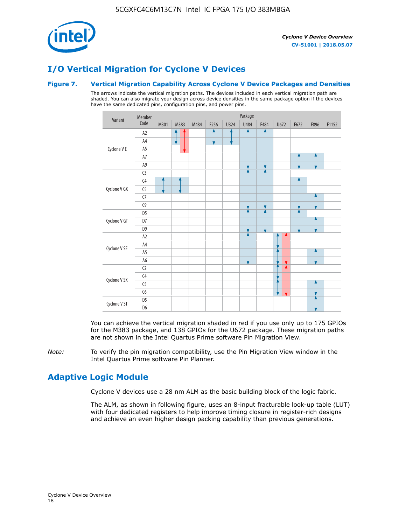

## **I/O Vertical Migration for Cyclone V Devices**

#### **Figure 7. Vertical Migration Capability Across Cyclone V Device Packages and Densities**

The arrows indicate the vertical migration paths. The devices included in each vertical migration path are shaded. You can also migrate your design across device densities in the same package option if the devices have the same dedicated pins, configuration pins, and power pins.



You can achieve the vertical migration shaded in red if you use only up to 175 GPIOs for the M383 package, and 138 GPIOs for the U672 package. These migration paths are not shown in the Intel Quartus Prime software Pin Migration View.

*Note:* To verify the pin migration compatibility, use the Pin Migration View window in the Intel Quartus Prime software Pin Planner.

## **Adaptive Logic Module**

Cyclone V devices use a 28 nm ALM as the basic building block of the logic fabric.

The ALM, as shown in following figure, uses an 8-input fracturable look-up table (LUT) with four dedicated registers to help improve timing closure in register-rich designs and achieve an even higher design packing capability than previous generations.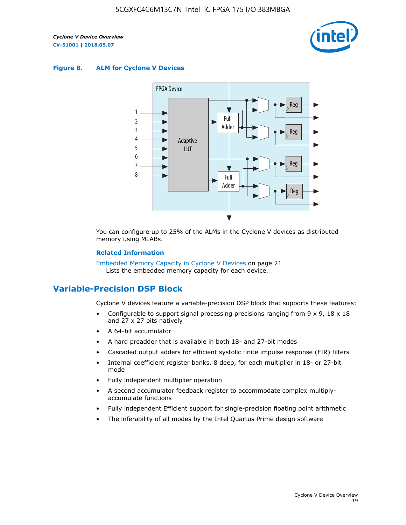

#### **Figure 8. ALM for Cyclone V Devices**



You can configure up to 25% of the ALMs in the Cyclone V devices as distributed memory using MLABs.

#### **Related Information**

Embedded Memory Capacity in Cyclone V Devices on page 21 Lists the embedded memory capacity for each device.

## **Variable-Precision DSP Block**

Cyclone V devices feature a variable-precision DSP block that supports these features:

- Configurable to support signal processing precisions ranging from  $9 \times 9$ ,  $18 \times 18$ and 27 x 27 bits natively
- A 64-bit accumulator
- A hard preadder that is available in both 18- and 27-bit modes
- Cascaded output adders for efficient systolic finite impulse response (FIR) filters
- Internal coefficient register banks, 8 deep, for each multiplier in 18- or 27-bit mode
- Fully independent multiplier operation
- A second accumulator feedback register to accommodate complex multiplyaccumulate functions
- Fully independent Efficient support for single-precision floating point arithmetic
- The inferability of all modes by the Intel Quartus Prime design software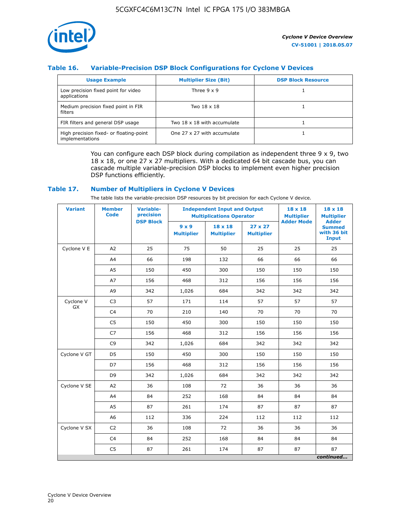

#### **Table 16. Variable-Precision DSP Block Configurations for Cyclone V Devices**

| <b>Usage Example</b>                                       | <b>Multiplier Size (Bit)</b> | <b>DSP Block Resource</b> |
|------------------------------------------------------------|------------------------------|---------------------------|
| Low precision fixed point for video<br>applications        | Three $9 \times 9$           |                           |
| Medium precision fixed point in FIR<br>filters             | Two 18 x 18                  |                           |
| FIR filters and general DSP usage                          | Two 18 x 18 with accumulate  |                           |
| High precision fixed- or floating-point<br>implementations | One 27 x 27 with accumulate  |                           |

You can configure each DSP block during compilation as independent three  $9 \times 9$ , two 18 x 18, or one 27 x 27 multipliers. With a dedicated 64 bit cascade bus, you can cascade multiple variable-precision DSP blocks to implement even higher precision DSP functions efficiently.

#### **Table 17. Number of Multipliers in Cyclone V Devices**

The table lists the variable-precision DSP resources by bit precision for each Cyclone V device.

| <b>Variant</b>  | <b>Member</b><br><b>Code</b> | <b>Variable-</b><br>precision |                                   |                                     | <b>Independent Input and Output</b><br><b>Multiplications Operator</b> |                   | $18 \times 18$<br><b>Multiplier</b>                          |
|-----------------|------------------------------|-------------------------------|-----------------------------------|-------------------------------------|------------------------------------------------------------------------|-------------------|--------------------------------------------------------------|
|                 |                              | <b>DSP Block</b>              | $9 \times 9$<br><b>Multiplier</b> | $18 \times 18$<br><b>Multiplier</b> | $27 \times 27$<br><b>Multiplier</b>                                    | <b>Adder Mode</b> | <b>Adder</b><br><b>Summed</b><br>with 36 bit<br><b>Input</b> |
| Cyclone V E     | A2                           | 25                            | 75                                | 50                                  | 25                                                                     | 25                | 25                                                           |
|                 | A4                           | 66                            | 198                               | 132                                 | 66                                                                     | 66                | 66                                                           |
|                 | A5                           | 150                           | 450                               | 300                                 | 150                                                                    | 150               | 150                                                          |
|                 | A7                           | 156                           | 468                               | 312                                 | 156                                                                    | 156               | 156                                                          |
|                 | A9                           | 342                           | 1,026                             | 684                                 | 342                                                                    | 342               | 342                                                          |
| Cyclone V<br>GX | C <sub>3</sub>               | 57                            | 171                               | 114                                 | 57                                                                     | 57                | 57                                                           |
|                 | C <sub>4</sub>               | 70                            | 210                               | 140                                 | 70                                                                     | 70                | 70                                                           |
|                 | C <sub>5</sub>               | 150                           | 450                               | 300                                 | 150                                                                    | 150               | 150                                                          |
|                 | C7                           | 156                           | 468                               | 312                                 | 156                                                                    | 156               | 156                                                          |
|                 | C <sub>9</sub>               | 342                           | 1,026                             | 684                                 | 342                                                                    | 342               | 342                                                          |
| Cyclone V GT    | D <sub>5</sub>               | 150                           | 450                               | 300                                 | 150                                                                    | 150               | 150                                                          |
|                 | D7                           | 156                           | 468                               | 312                                 | 156                                                                    | 156               | 156                                                          |
|                 | D <sub>9</sub>               | 342                           | 1,026                             | 684                                 | 342                                                                    | 342               | 342                                                          |
| Cyclone V SE    | A <sub>2</sub>               | 36                            | 108                               | 72                                  | 36                                                                     | 36                | 36                                                           |
|                 | A4                           | 84                            | 252                               | 168                                 | 84                                                                     | 84                | 84                                                           |
|                 | A5                           | 87                            | 261                               | 174                                 | 87                                                                     | 87                | 87                                                           |
|                 | A <sub>6</sub>               | 112                           | 336                               | 224                                 | 112                                                                    | 112               | 112                                                          |
| Cyclone V SX    | C <sub>2</sub>               | 36                            | 108                               | 72                                  | 36                                                                     | 36                | 36                                                           |
|                 | C <sub>4</sub>               | 84                            | 252                               | 168                                 | 84                                                                     | 84                | 84                                                           |
|                 | C <sub>5</sub>               | 87                            | 261                               | 174                                 | 87                                                                     | 87                | 87                                                           |
|                 |                              |                               |                                   |                                     |                                                                        |                   | continued                                                    |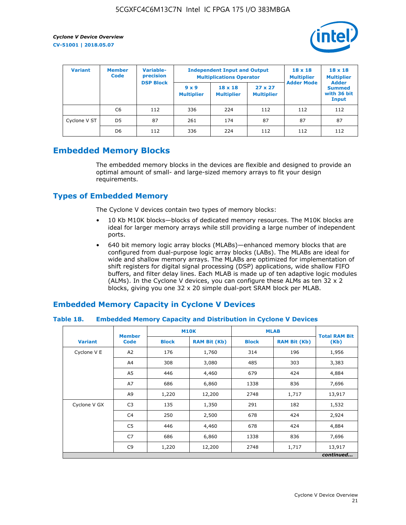

| <b>Variant</b> | <b>Member</b><br><b>Code</b> | <b>Variable-</b><br>precision<br><b>DSP Block</b> |                                   | <b>Independent Input and Output</b><br><b>Multiplications Operator</b> | $18 \times 18$<br><b>Multiplier</b> | $18 \times 18$<br><b>Multiplier</b><br><b>Adder</b> |                                       |
|----------------|------------------------------|---------------------------------------------------|-----------------------------------|------------------------------------------------------------------------|-------------------------------------|-----------------------------------------------------|---------------------------------------|
|                |                              |                                                   | $9 \times 9$<br><b>Multiplier</b> | $18 \times 18$<br><b>Multiplier</b>                                    | $27 \times 27$<br><b>Multiplier</b> | <b>Adder Mode</b>                                   | <b>Summed</b><br>with 36 bit<br>Input |
|                | C6                           | 112                                               | 336                               | 224                                                                    | 112                                 | 112                                                 | 112                                   |
| Cyclone V ST   | D <sub>5</sub>               | 87                                                | 261                               | 174                                                                    | 87                                  | 87                                                  | 87                                    |
|                | D <sub>6</sub>               | 112                                               | 336                               | 224                                                                    | 112                                 | 112                                                 | 112                                   |

## **Embedded Memory Blocks**

The embedded memory blocks in the devices are flexible and designed to provide an optimal amount of small- and large-sized memory arrays to fit your design requirements.

## **Types of Embedded Memory**

The Cyclone V devices contain two types of memory blocks:

- 10 Kb M10K blocks—blocks of dedicated memory resources. The M10K blocks are ideal for larger memory arrays while still providing a large number of independent ports.
- 640 bit memory logic array blocks (MLABs)—enhanced memory blocks that are configured from dual-purpose logic array blocks (LABs). The MLABs are ideal for wide and shallow memory arrays. The MLABs are optimized for implementation of shift registers for digital signal processing (DSP) applications, wide shallow FIFO buffers, and filter delay lines. Each MLAB is made up of ten adaptive logic modules (ALMs). In the Cyclone V devices, you can configure these ALMs as ten 32 x 2 blocks, giving you one 32 x 20 simple dual-port SRAM block per MLAB.

## **Embedded Memory Capacity in Cyclone V Devices**

#### **Table 18. Embedded Memory Capacity and Distribution in Cyclone V Devices**

|                | <b>M10K</b><br><b>Member</b> |              |                     |              | <b>MLAB</b><br><b>Total RAM Bit</b> |           |
|----------------|------------------------------|--------------|---------------------|--------------|-------------------------------------|-----------|
| <b>Variant</b> | <b>Code</b>                  | <b>Block</b> | <b>RAM Bit (Kb)</b> | <b>Block</b> | <b>RAM Bit (Kb)</b>                 | (Kb)      |
| Cyclone V E    | A2                           | 176          | 1,760               | 314          | 196                                 | 1,956     |
|                | A4                           | 308          | 3,080               | 485          | 303                                 | 3,383     |
|                | A5                           | 446          | 4,460               | 679          | 424                                 | 4,884     |
|                | A7                           | 686          | 6,860               | 1338         | 836                                 | 7,696     |
|                | A9                           | 1,220        | 12,200              | 2748         | 1,717                               | 13,917    |
| Cyclone V GX   | C <sub>3</sub>               | 135          | 1,350               | 291          | 182                                 | 1,532     |
|                | C4                           | 250          | 2,500               | 678          | 424                                 | 2,924     |
|                | C5                           | 446          | 4,460               | 678          | 424                                 | 4,884     |
|                | C7                           | 686          | 6,860               | 1338         | 836                                 | 7,696     |
|                | C <sub>9</sub>               | 1,220        | 12,200              | 2748         | 1,717                               | 13,917    |
|                |                              |              |                     |              |                                     | continued |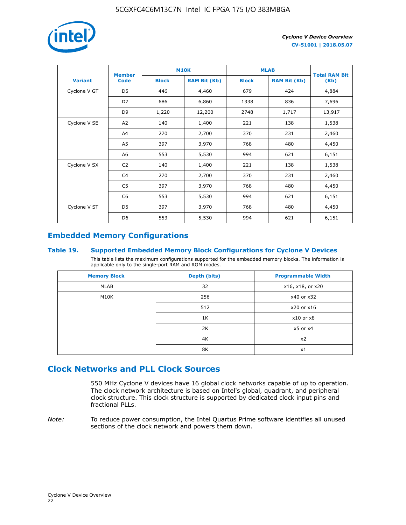

|                | <b>Member</b>  |              | <b>M10K</b>         |              | <b>MLAB</b>         |                              |
|----------------|----------------|--------------|---------------------|--------------|---------------------|------------------------------|
| <b>Variant</b> | <b>Code</b>    | <b>Block</b> | <b>RAM Bit (Kb)</b> | <b>Block</b> | <b>RAM Bit (Kb)</b> | <b>Total RAM Bit</b><br>(Kb) |
| Cyclone V GT   | D <sub>5</sub> | 446          | 4,460               | 679          | 424                 | 4,884                        |
|                | D7             | 686          | 6,860               | 1338         | 836                 | 7,696                        |
|                | D <sub>9</sub> | 1,220        | 12,200              | 2748         | 1,717               | 13,917                       |
| Cyclone V SE   | A <sub>2</sub> | 140          | 1,400               | 221          | 138                 | 1,538                        |
|                | A4             | 270          | 2,700               | 370          | 231                 | 2,460                        |
|                | A5             | 397          | 3,970               | 768          | 480                 | 4,450                        |
|                | A6             | 553          | 5,530               | 994          | 621                 | 6,151                        |
| Cyclone V SX   | C <sub>2</sub> | 140          | 1,400               | 221          | 138                 | 1,538                        |
|                | C <sub>4</sub> | 270          | 2,700               | 370          | 231                 | 2,460                        |
|                | C5             | 397          | 3,970               | 768          | 480                 | 4,450                        |
|                | C <sub>6</sub> | 553          | 5,530               | 994          | 621                 | 6,151                        |
| Cyclone V ST   | D <sub>5</sub> | 397          | 3,970               | 768          | 480                 | 4,450                        |
|                | D <sub>6</sub> | 553          | 5,530               | 994          | 621                 | 6,151                        |

## **Embedded Memory Configurations**

#### **Table 19. Supported Embedded Memory Block Configurations for Cyclone V Devices**

This table lists the maximum configurations supported for the embedded memory blocks. The information is applicable only to the single-port RAM and ROM modes.

| <b>Memory Block</b> | Depth (bits) | <b>Programmable Width</b> |
|---------------------|--------------|---------------------------|
| MLAB                | 32           | x16, x18, or x20          |
| M10K                | 256          | x40 or x32                |
|                     | 512          | x20 or x16                |
|                     | 1K           | $x10$ or $x8$             |
|                     | 2K           | $x5$ or $x4$              |
|                     | 4K           | x2                        |
|                     | 8K           | x1                        |

## **Clock Networks and PLL Clock Sources**

550 MHz Cyclone V devices have 16 global clock networks capable of up to operation. The clock network architecture is based on Intel's global, quadrant, and peripheral clock structure. This clock structure is supported by dedicated clock input pins and fractional PLLs.

*Note:* To reduce power consumption, the Intel Quartus Prime software identifies all unused sections of the clock network and powers them down.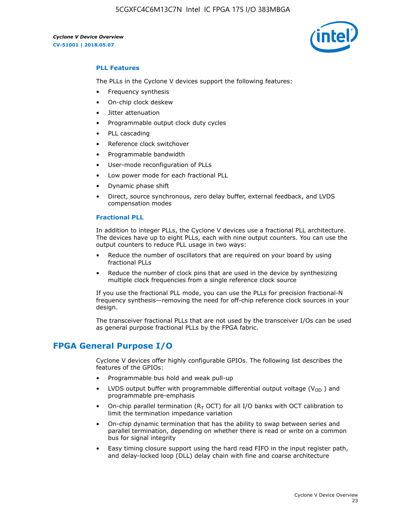

#### **PLL Features**

The PLLs in the Cyclone V devices support the following features:

- Frequency synthesis
- On-chip clock deskew
- Jitter attenuation
- Programmable output clock duty cycles
- PLL cascading
- Reference clock switchover
- Programmable bandwidth
- User-mode reconfiguration of PLLs
- Low power mode for each fractional PLL
- Dynamic phase shift
- Direct, source synchronous, zero delay buffer, external feedback, and LVDS compensation modes

#### **Fractional PLL**

In addition to integer PLLs, the Cyclone V devices use a fractional PLL architecture. The devices have up to eight PLLs, each with nine output counters. You can use the output counters to reduce PLL usage in two ways:

- Reduce the number of oscillators that are required on your board by using fractional PLLs
- Reduce the number of clock pins that are used in the device by synthesizing multiple clock frequencies from a single reference clock source

If you use the fractional PLL mode, you can use the PLLs for precision fractional-N frequency synthesis—removing the need for off-chip reference clock sources in your design.

The transceiver fractional PLLs that are not used by the transceiver I/Os can be used as general purpose fractional PLLs by the FPGA fabric.

## **FPGA General Purpose I/O**

Cyclone V devices offer highly configurable GPIOs. The following list describes the features of the GPIOs:

- Programmable bus hold and weak pull-up
- LVDS output buffer with programmable differential output voltage ( $V_{OD}$ ) and programmable pre-emphasis
- On-chip parallel termination ( $R<sub>T</sub>$  OCT) for all I/O banks with OCT calibration to limit the termination impedance variation
- On-chip dynamic termination that has the ability to swap between series and parallel termination, depending on whether there is read or write on a common bus for signal integrity
- Easy timing closure support using the hard read FIFO in the input register path, and delay-locked loop (DLL) delay chain with fine and coarse architecture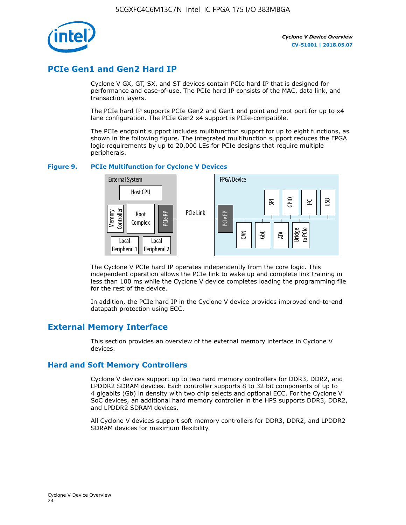

## **PCIe Gen1 and Gen2 Hard IP**

Cyclone V GX, GT, SX, and ST devices contain PCIe hard IP that is designed for performance and ease-of-use. The PCIe hard IP consists of the MAC, data link, and transaction layers.

The PCIe hard IP supports PCIe Gen2 and Gen1 end point and root port for up to x4 lane configuration. The PCIe Gen2 x4 support is PCIe-compatible.

The PCIe endpoint support includes multifunction support for up to eight functions, as shown in the following figure. The integrated multifunction support reduces the FPGA logic requirements by up to 20,000 LEs for PCIe designs that require multiple peripherals.

#### **Figure 9. PCIe Multifunction for Cyclone V Devices**



The Cyclone V PCIe hard IP operates independently from the core logic. This independent operation allows the PCIe link to wake up and complete link training in less than 100 ms while the Cyclone V device completes loading the programming file for the rest of the device.

In addition, the PCIe hard IP in the Cyclone V device provides improved end-to-end datapath protection using ECC.

## **External Memory Interface**

This section provides an overview of the external memory interface in Cyclone V devices.

#### **Hard and Soft Memory Controllers**

Cyclone V devices support up to two hard memory controllers for DDR3, DDR2, and LPDDR2 SDRAM devices. Each controller supports 8 to 32 bit components of up to 4 gigabits (Gb) in density with two chip selects and optional ECC. For the Cyclone V SoC devices, an additional hard memory controller in the HPS supports DDR3, DDR2, and LPDDR2 SDRAM devices.

All Cyclone V devices support soft memory controllers for DDR3, DDR2, and LPDDR2 SDRAM devices for maximum flexibility.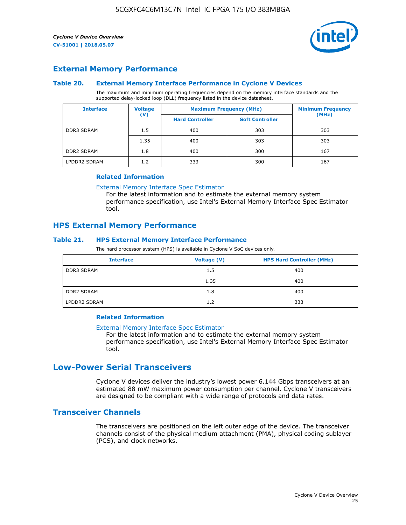

### **External Memory Performance**

#### **Table 20. External Memory Interface Performance in Cyclone V Devices**

The maximum and minimum operating frequencies depend on the memory interface standards and the supported delay-locked loop (DLL) frequency listed in the device datasheet.

| <b>Interface</b>  | <b>Voltage</b> | <b>Maximum Frequency (MHz)</b> | <b>Minimum Frequency</b> |       |
|-------------------|----------------|--------------------------------|--------------------------|-------|
|                   | $(\mathsf{V})$ | <b>Hard Controller</b>         | <b>Soft Controller</b>   | (MHz) |
| <b>DDR3 SDRAM</b> | 1.5            | 400                            | 303                      | 303   |
|                   | 1.35           | 400                            | 303                      | 303   |
| <b>DDR2 SDRAM</b> | 1.8            | 400                            | 300                      | 167   |
| LPDDR2 SDRAM      | 1.2            | 333                            | 300                      | 167   |

#### **Related Information**

[External Memory Interface Spec Estimator](https://www.altera.com/solutions/technology/external-memory/spec-estimator.html)

For the latest information and to estimate the external memory system performance specification, use Intel's External Memory Interface Spec Estimator tool.

### **HPS External Memory Performance**

#### **Table 21. HPS External Memory Interface Performance**

The hard processor system (HPS) is available in Cyclone V SoC devices only.

| <b>Interface</b>  | <b>Voltage (V)</b> | <b>HPS Hard Controller (MHz)</b> |
|-------------------|--------------------|----------------------------------|
| <b>DDR3 SDRAM</b> | 1.5                | 400                              |
|                   | 1.35               | 400                              |
| <b>DDR2 SDRAM</b> | 1.8                | 400                              |
| LPDDR2 SDRAM      | 1.2                | 333                              |

#### **Related Information**

#### [External Memory Interface Spec Estimator](https://www.altera.com/solutions/technology/external-memory/spec-estimator.html)

For the latest information and to estimate the external memory system performance specification, use Intel's External Memory Interface Spec Estimator tool.

## **Low-Power Serial Transceivers**

Cyclone V devices deliver the industry's lowest power 6.144 Gbps transceivers at an estimated 88 mW maximum power consumption per channel. Cyclone V transceivers are designed to be compliant with a wide range of protocols and data rates.

#### **Transceiver Channels**

The transceivers are positioned on the left outer edge of the device. The transceiver channels consist of the physical medium attachment (PMA), physical coding sublayer (PCS), and clock networks.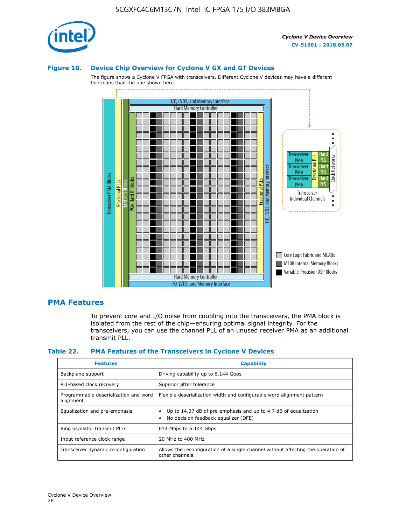

#### **Figure 10. Device Chip Overview for Cyclone V GX and GT Devices**

The figure shows a Cyclone V FPGA with transceivers. Different Cyclone V devices may have a different floorplans than the one shown here.



#### **PMA Features**

To prevent core and I/O noise from coupling into the transceivers, the PMA block is isolated from the rest of the chip—ensuring optimal signal integrity. For the transceivers, you can use the channel PLL of an unused receiver PMA as an additional transmit PLL.

#### **Table 22. PMA Features of the Transceivers in Cyclone V Devices**

| <b>Features</b>                                    | <b>Capability</b>                                                                                       |
|----------------------------------------------------|---------------------------------------------------------------------------------------------------------|
| Backplane support                                  | Driving capability up to 6.144 Gbps                                                                     |
| PLL-based clock recovery                           | Superior jitter tolerance                                                                               |
| Programmable deserialization and word<br>alignment | Flexible deserialization width and configurable word alignment pattern                                  |
| Equalization and pre-emphasis                      | Up to 14.37 dB of pre-emphasis and up to 4.7 dB of equalization<br>No decision feedback equalizer (DFE) |
| Ring oscillator transmit PLLs                      | 614 Mbps to 6.144 Gbps                                                                                  |
| Input reference clock range                        | 20 MHz to 400 MHz                                                                                       |
| Transceiver dynamic reconfiguration                | Allows the reconfiguration of a single channel without affecting the operation of<br>other channels     |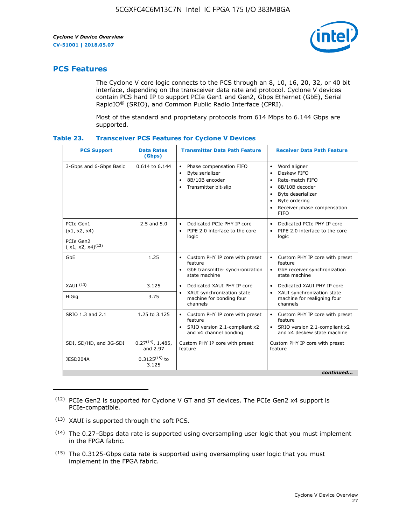

## **PCS Features**

The Cyclone V core logic connects to the PCS through an 8, 10, 16, 20, 32, or 40 bit interface, depending on the transceiver data rate and protocol. Cyclone V devices contain PCS hard IP to support PCIe Gen1 and Gen2, Gbps Ethernet (GbE), Serial RapidIO® (SRIO), and Common Public Radio Interface (CPRI).

Most of the standard and proprietary protocols from 614 Mbps to 6.144 Gbps are supported.

| Table 23. |  | <b>Transceiver PCS Features for Cyclone V Devices</b> |
|-----------|--|-------------------------------------------------------|
|           |  |                                                       |

| <b>PCS Support</b>                 | <b>Data Rates</b><br>(Gbps)        | <b>Transmitter Data Path Feature</b>                                                                         | <b>Receiver Data Path Feature</b>                                                                                                                                                                                                  |
|------------------------------------|------------------------------------|--------------------------------------------------------------------------------------------------------------|------------------------------------------------------------------------------------------------------------------------------------------------------------------------------------------------------------------------------------|
| 3-Gbps and 6-Gbps Basic            | 0.614 to 6.144                     | • Phase compensation FIFO<br>Byte serializer<br>8B/10B encoder<br>Transmitter bit-slip                       | Word aligner<br>$\bullet$<br>Deskew FIFO<br>$\bullet$<br>Rate-match FIFO<br>$\bullet$<br>8B/10B decoder<br>$\bullet$<br>Byte deserializer<br>$\bullet$<br>Byte ordering<br>$\bullet$<br>Receiver phase compensation<br><b>FIFO</b> |
| PCIe Gen1<br>(x1, x2, x4)          | $2.5$ and $5.0$                    | Dedicated PCIe PHY IP core<br>PIPE 2.0 interface to the core<br>$\bullet$<br>logic                           | Dedicated PCIe PHY IP core<br>$\bullet$<br>PIPE 2.0 interface to the core<br>$\bullet$<br>logic                                                                                                                                    |
| PCIe Gen2<br>$(x1, x2, x4)^{(12)}$ |                                    |                                                                                                              |                                                                                                                                                                                                                                    |
| GbE                                | 1.25                               | • Custom PHY IP core with preset<br>feature<br>GbE transmitter synchronization<br>$\bullet$<br>state machine | • Custom PHY IP core with preset<br>feature<br>GbE receiver synchronization<br>state machine                                                                                                                                       |
| $XAUI$ $(13)$                      | 3.125                              | Dedicated XAUI PHY IP core<br>$\bullet$                                                                      | Dedicated XAUI PHY IP core<br>$\bullet$                                                                                                                                                                                            |
| <b>HiGig</b>                       | 3.75                               | XAUI synchronization state<br>$\bullet$<br>machine for bonding four<br>channels                              | XAUI synchronization state<br>$\bullet$<br>machine for realigning four<br>channels                                                                                                                                                 |
| SRIO 1.3 and 2.1                   | 1.25 to 3.125                      | • Custom PHY IP core with preset<br>feature<br>• SRIO version 2.1-compliant x2<br>and x4 channel bonding     | • Custom PHY IP core with preset<br>feature<br>• SRIO version 2.1-compliant x2<br>and x4 deskew state machine                                                                                                                      |
| SDI, SD/HD, and 3G-SDI             | $0.27^{(14)}$ , 1.485,<br>and 2.97 | Custom PHY IP core with preset<br>feature                                                                    | Custom PHY IP core with preset<br>feature                                                                                                                                                                                          |
| JESD204A                           | $0.3125^{(15)}$ to<br>3.125        |                                                                                                              |                                                                                                                                                                                                                                    |
|                                    |                                    |                                                                                                              | continued                                                                                                                                                                                                                          |

<sup>(12)</sup> PCIe Gen2 is supported for Cyclone V GT and ST devices. The PCIe Gen2 x4 support is PCIe-compatible.

<sup>(13)</sup> XAUI is supported through the soft PCS.

<sup>(14)</sup> The 0.27-Gbps data rate is supported using oversampling user logic that you must implement in the FPGA fabric.

<sup>(15)</sup> The 0.3125-Gbps data rate is supported using oversampling user logic that you must implement in the FPGA fabric.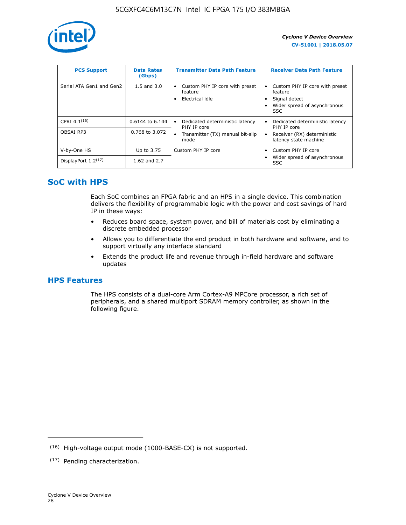

| <b>PCS Support</b>       | <b>Data Rates</b><br>(Gbps) | <b>Transmitter Data Path Feature</b>                         | <b>Receiver Data Path Feature</b>                                                                  |
|--------------------------|-----------------------------|--------------------------------------------------------------|----------------------------------------------------------------------------------------------------|
| Serial ATA Gen1 and Gen2 | $1.5$ and $3.0$             | Custom PHY IP core with preset<br>feature<br>Electrical idle | Custom PHY IP core with preset<br>feature<br>Signal detect<br>Wider spread of asynchronous<br>SSC. |
| CPRI 4.1 $(16)$          | 0.6144 to 6.144             | Dedicated deterministic latency<br>٠<br>PHY IP core          | Dedicated deterministic latency<br>PHY IP core                                                     |
| OBSAI RP3                | 0.768 to 3.072              | Transmitter (TX) manual bit-slip<br>mode                     | Receiver (RX) deterministic<br>latency state machine                                               |
| V-by-One HS              | Up to 3.75                  | Custom PHY IP core                                           | Custom PHY IP core                                                                                 |
| DisplayPort $1.2^{(17)}$ | 1.62 and $2.7$              |                                                              | Wider spread of asynchronous<br><b>SSC</b>                                                         |

## **SoC with HPS**

Each SoC combines an FPGA fabric and an HPS in a single device. This combination delivers the flexibility of programmable logic with the power and cost savings of hard IP in these ways:

- Reduces board space, system power, and bill of materials cost by eliminating a discrete embedded processor
- Allows you to differentiate the end product in both hardware and software, and to support virtually any interface standard
- Extends the product life and revenue through in-field hardware and software updates

## **HPS Features**

The HPS consists of a dual-core Arm Cortex-A9 MPCore processor, a rich set of peripherals, and a shared multiport SDRAM memory controller, as shown in the following figure.

<sup>(16)</sup> High-voltage output mode (1000-BASE-CX) is not supported.

<sup>(17)</sup> Pending characterization.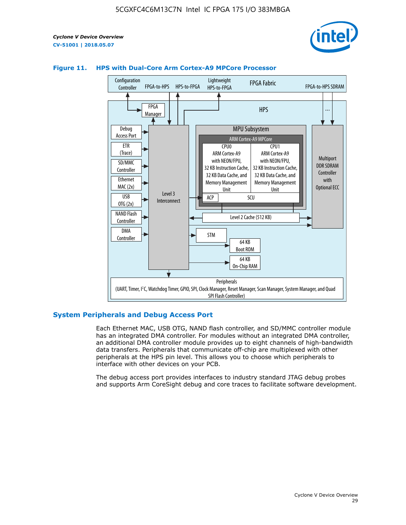



#### **Figure 11. HPS with Dual-Core Arm Cortex-A9 MPCore Processor**

#### **System Peripherals and Debug Access Port**

Each Ethernet MAC, USB OTG, NAND flash controller, and SD/MMC controller module has an integrated DMA controller. For modules without an integrated DMA controller, an additional DMA controller module provides up to eight channels of high-bandwidth data transfers. Peripherals that communicate off-chip are multiplexed with other peripherals at the HPS pin level. This allows you to choose which peripherals to interface with other devices on your PCB.

The debug access port provides interfaces to industry standard JTAG debug probes and supports Arm CoreSight debug and core traces to facilitate software development.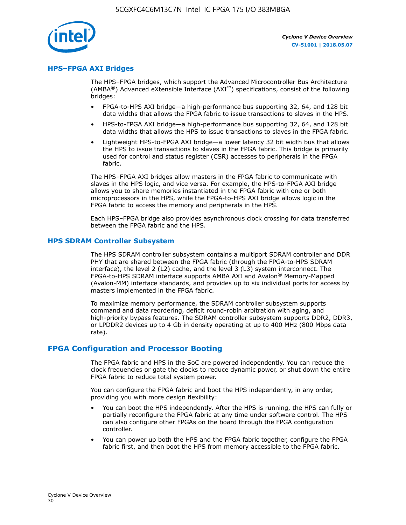

#### **HPS–FPGA AXI Bridges**

The HPS–FPGA bridges, which support the Advanced Microcontroller Bus Architecture (AMBA<sup>®</sup>) Advanced eXtensible Interface (AXI<sup>™</sup>) specifications, consist of the following bridges:

- FPGA-to-HPS AXI bridge—a high-performance bus supporting 32, 64, and 128 bit data widths that allows the FPGA fabric to issue transactions to slaves in the HPS.
- HPS-to-FPGA AXI bridge—a high-performance bus supporting 32, 64, and 128 bit data widths that allows the HPS to issue transactions to slaves in the FPGA fabric.
- Lightweight HPS-to-FPGA AXI bridge—a lower latency 32 bit width bus that allows the HPS to issue transactions to slaves in the FPGA fabric. This bridge is primarily used for control and status register (CSR) accesses to peripherals in the FPGA fabric.

The HPS–FPGA AXI bridges allow masters in the FPGA fabric to communicate with slaves in the HPS logic, and vice versa. For example, the HPS-to-FPGA AXI bridge allows you to share memories instantiated in the FPGA fabric with one or both microprocessors in the HPS, while the FPGA-to-HPS AXI bridge allows logic in the FPGA fabric to access the memory and peripherals in the HPS.

Each HPS–FPGA bridge also provides asynchronous clock crossing for data transferred between the FPGA fabric and the HPS.

#### **HPS SDRAM Controller Subsystem**

The HPS SDRAM controller subsystem contains a multiport SDRAM controller and DDR PHY that are shared between the FPGA fabric (through the FPGA-to-HPS SDRAM interface), the level 2 (L2) cache, and the level 3 (L3) system interconnect. The FPGA-to-HPS SDRAM interface supports AMBA AXI and Avalon® Memory-Mapped (Avalon-MM) interface standards, and provides up to six individual ports for access by masters implemented in the FPGA fabric.

To maximize memory performance, the SDRAM controller subsystem supports command and data reordering, deficit round-robin arbitration with aging, and high-priority bypass features. The SDRAM controller subsystem supports DDR2, DDR3, or LPDDR2 devices up to 4 Gb in density operating at up to 400 MHz (800 Mbps data rate).

#### **FPGA Configuration and Processor Booting**

The FPGA fabric and HPS in the SoC are powered independently. You can reduce the clock frequencies or gate the clocks to reduce dynamic power, or shut down the entire FPGA fabric to reduce total system power.

You can configure the FPGA fabric and boot the HPS independently, in any order, providing you with more design flexibility:

- You can boot the HPS independently. After the HPS is running, the HPS can fully or partially reconfigure the FPGA fabric at any time under software control. The HPS can also configure other FPGAs on the board through the FPGA configuration controller.
- You can power up both the HPS and the FPGA fabric together, configure the FPGA fabric first, and then boot the HPS from memory accessible to the FPGA fabric.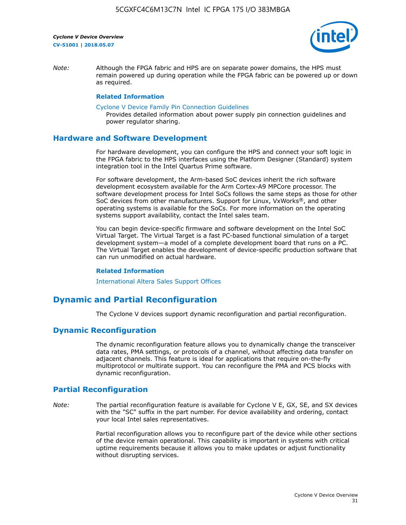

*Note:* Although the FPGA fabric and HPS are on separate power domains, the HPS must remain powered up during operation while the FPGA fabric can be powered up or down as required.

#### **Related Information**

[Cyclone V Device Family Pin Connection Guidelines](https://www.altera.com/content/dam/altera-www/global/en_US/pdfs/literature/dp/cyclone-v/pcg-01014.pdf)

Provides detailed information about power supply pin connection guidelines and power regulator sharing.

#### **Hardware and Software Development**

For hardware development, you can configure the HPS and connect your soft logic in the FPGA fabric to the HPS interfaces using the Platform Designer (Standard) system integration tool in the Intel Quartus Prime software.

For software development, the Arm-based SoC devices inherit the rich software development ecosystem available for the Arm Cortex-A9 MPCore processor. The software development process for Intel SoCs follows the same steps as those for other SoC devices from other manufacturers. Support for Linux, VxWorks®, and other operating systems is available for the SoCs. For more information on the operating systems support availability, contact the Intel sales team.

You can begin device-specific firmware and software development on the Intel SoC Virtual Target. The Virtual Target is a fast PC-based functional simulation of a target development system—a model of a complete development board that runs on a PC. The Virtual Target enables the development of device-specific production software that can run unmodified on actual hardware.

#### **Related Information**

[International Altera Sales Support Offices](https://www.altera.com/about/contact/contact/international-altera-sales-offices.html)

## **Dynamic and Partial Reconfiguration**

The Cyclone V devices support dynamic reconfiguration and partial reconfiguration.

#### **Dynamic Reconfiguration**

The dynamic reconfiguration feature allows you to dynamically change the transceiver data rates, PMA settings, or protocols of a channel, without affecting data transfer on adjacent channels. This feature is ideal for applications that require on-the-fly multiprotocol or multirate support. You can reconfigure the PMA and PCS blocks with dynamic reconfiguration.

## **Partial Reconfiguration**

*Note:* The partial reconfiguration feature is available for Cyclone V E, GX, SE, and SX devices with the "SC" suffix in the part number. For device availability and ordering, contact your local Intel sales representatives.

> Partial reconfiguration allows you to reconfigure part of the device while other sections of the device remain operational. This capability is important in systems with critical uptime requirements because it allows you to make updates or adjust functionality without disrupting services.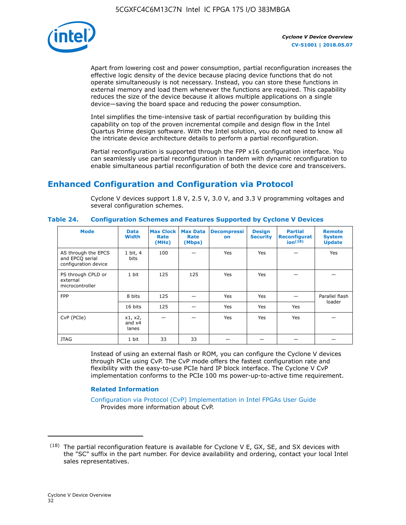

Apart from lowering cost and power consumption, partial reconfiguration increases the effective logic density of the device because placing device functions that do not operate simultaneously is not necessary. Instead, you can store these functions in external memory and load them whenever the functions are required. This capability reduces the size of the device because it allows multiple applications on a single device—saving the board space and reducing the power consumption.

Intel simplifies the time-intensive task of partial reconfiguration by building this capability on top of the proven incremental compile and design flow in the Intel Quartus Prime design software. With the Intel solution, you do not need to know all the intricate device architecture details to perform a partial reconfiguration.

Partial reconfiguration is supported through the FPP x16 configuration interface. You can seamlessly use partial reconfiguration in tandem with dynamic reconfiguration to enable simultaneous partial reconfiguration of both the device core and transceivers.

## **Enhanced Configuration and Configuration via Protocol**

Cyclone V devices support 1.8 V, 2.5 V, 3.0 V, and 3.3 V programming voltages and several configuration schemes.

| <b>Mode</b>                                                    | <b>Data</b><br><b>Width</b>  | <b>Max Clock  </b><br>Rate<br>(MHz) | <b>Max Data</b><br>Rate<br>(Mbps) | <b>Decompressi</b><br><b>on</b> | <b>Design</b><br><b>Security</b> | <b>Partial</b><br><b>Reconfigurat</b><br>$ion^{(18)}$ | <b>Remote</b><br><b>System</b><br><b>Update</b> |
|----------------------------------------------------------------|------------------------------|-------------------------------------|-----------------------------------|---------------------------------|----------------------------------|-------------------------------------------------------|-------------------------------------------------|
| AS through the EPCS<br>and EPCQ serial<br>configuration device | 1 bit, 4<br>bits             | 100                                 |                                   | Yes                             | Yes                              |                                                       | Yes                                             |
| PS through CPLD or<br>external<br>microcontroller              | 1 bit                        | 125                                 | 125                               | Yes                             | Yes                              |                                                       |                                                 |
| <b>FPP</b>                                                     | 8 bits                       | 125                                 |                                   | Yes                             | Yes                              |                                                       | Parallel flash                                  |
|                                                                | 16 bits                      | 125                                 |                                   | Yes                             | Yes                              | Yes                                                   | loader                                          |
| CvP (PCIe)                                                     | x1, x2,<br>and $x4$<br>lanes |                                     |                                   | Yes                             | <b>Yes</b>                       | Yes                                                   |                                                 |
| <b>JTAG</b>                                                    | 1 bit                        | 33                                  | 33                                |                                 |                                  |                                                       |                                                 |

**Table 24. Configuration Schemes and Features Supported by Cyclone V Devices**

Instead of using an external flash or ROM, you can configure the Cyclone V devices through PCIe using CvP. The CvP mode offers the fastest configuration rate and flexibility with the easy-to-use PCIe hard IP block interface. The Cyclone V CvP implementation conforms to the PCIe 100 ms power-up-to-active time requirement.

#### **Related Information**

[Configuration via Protocol \(CvP\) Implementation in Intel FPGAs User Guide](https://www.altera.com/documentation/nik1412546950394.html#nik1412546833714) Provides more information about CvP.

 $(18)$  The partial reconfiguration feature is available for Cyclone V E, GX, SE, and SX devices with the "SC" suffix in the part number. For device availability and ordering, contact your local Intel sales representatives.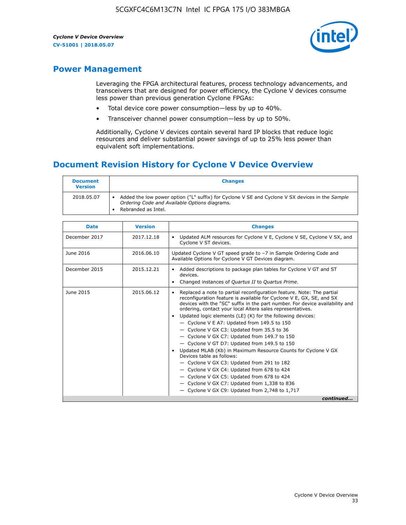

## **Power Management**

Leveraging the FPGA architectural features, process technology advancements, and transceivers that are designed for power efficiency, the Cyclone V devices consume less power than previous generation Cyclone FPGAs:

- Total device core power consumption—less by up to 40%.
- Transceiver channel power consumption—less by up to 50%.

Additionally, Cyclone V devices contain several hard IP blocks that reduce logic resources and deliver substantial power savings of up to 25% less power than equivalent soft implementations.

## **Document Revision History for Cyclone V Device Overview**

| <b>Document</b><br><b>Version</b> | <b>Changes</b>                                                                                                                                                          |
|-----------------------------------|-------------------------------------------------------------------------------------------------------------------------------------------------------------------------|
| 2018.05.07                        | Added the low power option ("L" suffix) for Cyclone V SE and Cyclone V SX devices in the Sample<br>Ordering Code and Available Options diagrams.<br>Rebranded as Intel. |

| <b>Date</b>   | <b>Version</b> | <b>Changes</b>                                                                                                                                                                                                                                                                                                                                                                                                                                                                                                                                                                                                                                                                                                                                                                                                                                                                                                  |
|---------------|----------------|-----------------------------------------------------------------------------------------------------------------------------------------------------------------------------------------------------------------------------------------------------------------------------------------------------------------------------------------------------------------------------------------------------------------------------------------------------------------------------------------------------------------------------------------------------------------------------------------------------------------------------------------------------------------------------------------------------------------------------------------------------------------------------------------------------------------------------------------------------------------------------------------------------------------|
| December 2017 | 2017.12.18     | Updated ALM resources for Cyclone V E, Cyclone V SE, Cyclone V SX, and<br>Cyclone V ST devices.                                                                                                                                                                                                                                                                                                                                                                                                                                                                                                                                                                                                                                                                                                                                                                                                                 |
| June 2016     | 2016.06.10     | Updated Cyclone V GT speed grade to -7 in Sample Ordering Code and<br>Available Options for Cyclone V GT Devices diagram.                                                                                                                                                                                                                                                                                                                                                                                                                                                                                                                                                                                                                                                                                                                                                                                       |
| December 2015 | 2015.12.21     | Added descriptions to package plan tables for Cyclone V GT and ST<br>devices.<br>Changed instances of Quartus II to Quartus Prime.                                                                                                                                                                                                                                                                                                                                                                                                                                                                                                                                                                                                                                                                                                                                                                              |
| June 2015     | 2015.06.12     | Replaced a note to partial reconfiguration feature. Note: The partial<br>reconfiguration feature is available for Cyclone V E, GX, SE, and SX<br>devices with the "SC" suffix in the part number. For device availability and<br>ordering, contact your local Altera sales representatives.<br>Updated logic elements (LE) (K) for the following devices:<br>$\bullet$<br>- Cyclone V E A7: Updated from 149.5 to 150<br>- Cyclone V GX C3: Updated from 35.5 to 36<br>- Cyclone V GX C7: Updated from 149.7 to 150<br>- Cyclone V GT D7: Updated from 149.5 to 150<br>Updated MLAB (Kb) in Maximum Resource Counts for Cyclone V GX<br>Devices table as follows:<br>- Cyclone V GX C3: Updated from 291 to 182<br>- Cyclone V GX C4: Updated from 678 to 424<br>- Cyclone V GX C5: Updated from 678 to 424<br>- Cyclone V GX C7: Updated from 1,338 to 836<br>$-$ Cyclone V GX C9: Updated from 2,748 to 1,717 |
|               |                | continued                                                                                                                                                                                                                                                                                                                                                                                                                                                                                                                                                                                                                                                                                                                                                                                                                                                                                                       |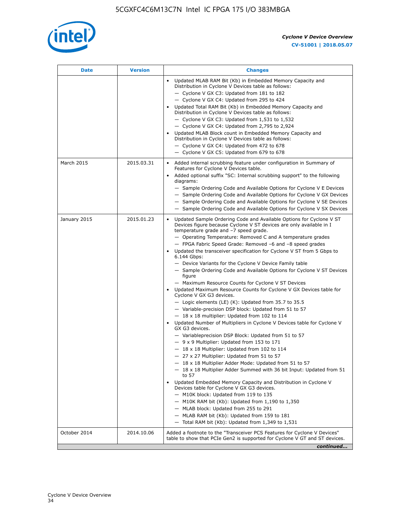

| Date         | <b>Version</b> | <b>Changes</b>                                                                                                                                                                                                                                                                                                                                                                                                                                                                                                                                                                                                                                                                                                                                                                                                                                                                                                                                                                                                                                                                                                                                                                                                                                                                                                                                                                                                                                                                                                                                                                                                                                                                                                  |
|--------------|----------------|-----------------------------------------------------------------------------------------------------------------------------------------------------------------------------------------------------------------------------------------------------------------------------------------------------------------------------------------------------------------------------------------------------------------------------------------------------------------------------------------------------------------------------------------------------------------------------------------------------------------------------------------------------------------------------------------------------------------------------------------------------------------------------------------------------------------------------------------------------------------------------------------------------------------------------------------------------------------------------------------------------------------------------------------------------------------------------------------------------------------------------------------------------------------------------------------------------------------------------------------------------------------------------------------------------------------------------------------------------------------------------------------------------------------------------------------------------------------------------------------------------------------------------------------------------------------------------------------------------------------------------------------------------------------------------------------------------------------|
|              |                | Updated MLAB RAM Bit (Kb) in Embedded Memory Capacity and<br>Distribution in Cyclone V Devices table as follows:<br>- Cyclone V GX C3: Updated from 181 to 182<br>- Cyclone V GX C4: Updated from 295 to 424<br>Updated Total RAM Bit (Kb) in Embedded Memory Capacity and<br>Distribution in Cyclone V Devices table as follows:<br>$-$ Cyclone V GX C3: Updated from 1,531 to 1,532<br>- Cyclone V GX C4: Updated from 2,795 to 2,924<br>Updated MLAB Block count in Embedded Memory Capacity and<br>Distribution in Cyclone V Devices table as follows:<br>- Cyclone V GX C4: Updated from 472 to 678<br>- Cyclone V GX C5: Updated from 679 to 678                                                                                                                                                                                                                                                                                                                                                                                                                                                                                                                                                                                                                                                                                                                                                                                                                                                                                                                                                                                                                                                          |
| March 2015   | 2015.03.31     | Added internal scrubbing feature under configuration in Summary of<br>Features for Cyclone V Devices table.<br>Added optional suffix "SC: Internal scrubbing support" to the following<br>diagrams:<br>- Sample Ordering Code and Available Options for Cyclone V E Devices<br>- Sample Ordering Code and Available Options for Cyclone V GX Devices<br>- Sample Ordering Code and Available Options for Cyclone V SE Devices<br>- Sample Ordering Code and Available Options for Cyclone V SX Devices                                                                                                                                                                                                                                                                                                                                                                                                                                                                                                                                                                                                                                                                                                                                                                                                                                                                                                                                                                                                                                                                                                                                                                                                          |
| January 2015 | 2015.01.23     | Updated Sample Ordering Code and Available Options for Cyclone V ST<br>Devices figure because Cyclone V ST devices are only available in I<br>temperature grade and -7 speed grade.<br>- Operating Temperature: Removed C and A temperature grades<br>- FPGA Fabric Speed Grade: Removed -6 and -8 speed grades<br>Updated the transceiver specification for Cyclone V ST from 5 Gbps to<br>6.144 Gbps:<br>- Device Variants for the Cyclone V Device Family table<br>- Sample Ordering Code and Available Options for Cyclone V ST Devices<br>figure<br>- Maximum Resource Counts for Cyclone V ST Devices<br>• Updated Maximum Resource Counts for Cyclone V GX Devices table for<br>Cyclone V GX G3 devices.<br>$-$ Logic elements (LE) (K): Updated from 35.7 to 35.5<br>- Variable-precision DSP block: Updated from 51 to 57<br>$-18 \times 18$ multiplier: Updated from 102 to 114<br>Updated Number of Multipliers in Cyclone V Devices table for Cyclone V<br>GX G3 devices.<br>- Variableprecision DSP Block: Updated from 51 to 57<br>$-9x9$ Multiplier: Updated from 153 to 171<br>$-18 \times 18$ Multiplier: Updated from 102 to 114<br>- 27 x 27 Multiplier: Updated from 51 to 57<br>- 18 x 18 Multiplier Adder Mode: Updated from 51 to 57<br>$-18 \times 18$ Multiplier Adder Summed with 36 bit Input: Updated from 51<br>to 57<br>Updated Embedded Memory Capacity and Distribution in Cyclone V<br>Devices table for Cyclone V GX G3 devices.<br>- M10K block: Updated from 119 to 135<br>- M10K RAM bit (Kb): Updated from 1,190 to 1,350<br>- MLAB block: Updated from 255 to 291<br>- MLAB RAM bit (Kb): Updated from 159 to 181<br>$-$ Total RAM bit (Kb): Updated from 1,349 to 1,531 |
| October 2014 | 2014.10.06     | Added a footnote to the "Transceiver PCS Features for Cyclone V Devices"<br>table to show that PCIe Gen2 is supported for Cyclone V GT and ST devices.                                                                                                                                                                                                                                                                                                                                                                                                                                                                                                                                                                                                                                                                                                                                                                                                                                                                                                                                                                                                                                                                                                                                                                                                                                                                                                                                                                                                                                                                                                                                                          |
|              |                | continued                                                                                                                                                                                                                                                                                                                                                                                                                                                                                                                                                                                                                                                                                                                                                                                                                                                                                                                                                                                                                                                                                                                                                                                                                                                                                                                                                                                                                                                                                                                                                                                                                                                                                                       |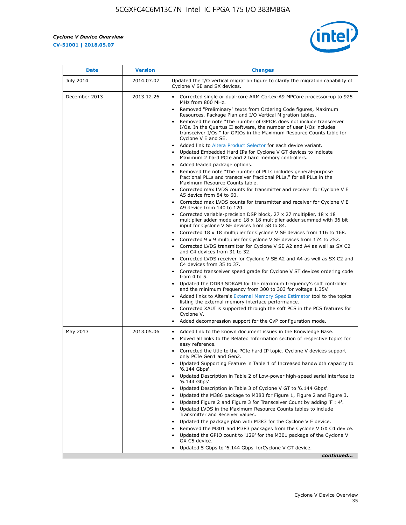r



| <b>Date</b>   | <b>Version</b> | <b>Changes</b>                                                                                                                                                                                                                           |
|---------------|----------------|------------------------------------------------------------------------------------------------------------------------------------------------------------------------------------------------------------------------------------------|
| July 2014     | 2014.07.07     | Updated the I/O vertical migration figure to clarify the migration capability of<br>Cyclone V SE and SX devices.                                                                                                                         |
| December 2013 | 2013.12.26     | Corrected single or dual-core ARM Cortex-A9 MPCore processor-up to 925<br>MHz from 800 MHz.                                                                                                                                              |
|               |                | Removed "Preliminary" texts from Ordering Code figures, Maximum<br>Resources, Package Plan and I/O Vertical Migration tables.                                                                                                            |
|               |                | Removed the note "The number of GPIOs does not include transceiver<br>I/Os. In the Quartus II software, the number of user I/Os includes<br>transceiver I/Os." for GPIOs in the Maximum Resource Counts table for<br>Cyclone V E and SE. |
|               |                | Added link to Altera Product Selector for each device variant.<br>Updated Embedded Hard IPs for Cyclone V GT devices to indicate<br>Maximum 2 hard PCIe and 2 hard memory controllers.                                                   |
|               |                | • Added leaded package options.                                                                                                                                                                                                          |
|               |                | Removed the note "The number of PLLs includes general-purpose<br>fractional PLLs and transceiver fractional PLLs." for all PLLs in the<br>Maximum Resource Counts table.                                                                 |
|               |                | • Corrected max LVDS counts for transmitter and receiver for Cyclone V E<br>A5 device from 84 to 60.                                                                                                                                     |
|               |                | • Corrected max LVDS counts for transmitter and receiver for Cyclone V E<br>A9 device from 140 to 120.                                                                                                                                   |
|               |                | Corrected variable-precision DSP block, 27 x 27 multiplier, 18 x 18<br>multiplier adder mode and 18 x 18 multiplier adder summed with 36 bit<br>input for Cyclone V SE devices from 58 to 84.                                            |
|               |                | Corrected 18 x 18 multiplier for Cyclone V SE devices from 116 to 168.                                                                                                                                                                   |
|               |                | Corrected 9 x 9 multiplier for Cyclone V SE devices from 174 to 252.                                                                                                                                                                     |
|               |                | • Corrected LVDS transmitter for Cyclone V SE A2 and A4 as well as SX C2<br>and C4 devices from 31 to 32.                                                                                                                                |
|               |                | • Corrected LVDS receiver for Cyclone V SE A2 and A4 as well as SX C2 and<br>C4 devices from 35 to 37.                                                                                                                                   |
|               |                | • Corrected transceiver speed grade for Cyclone V ST devices ordering code<br>from 4 to 5.                                                                                                                                               |
|               |                | • Updated the DDR3 SDRAM for the maximum frequency's soft controller<br>and the minimum frequency from 300 to 303 for voltage 1.35V.                                                                                                     |
|               |                | Added links to Altera's External Memory Spec Estimator tool to the topics<br>listing the external memory interface performance.                                                                                                          |
|               |                | • Corrected XAUI is supported through the soft PCS in the PCS features for<br>Cyclone V.                                                                                                                                                 |
|               |                | Added decompression support for the CvP configuration mode.                                                                                                                                                                              |
| May 2013      | 2013.05.06     | Added link to the known document issues in the Knowledge Base.<br>$\bullet$<br>Moved all links to the Related Information section of respective topics for<br>$\bullet$<br>easy reference.                                               |
|               |                | • Corrected the title to the PCIe hard IP topic. Cyclone V devices support<br>only PCIe Gen1 and Gen2.                                                                                                                                   |
|               |                | • Updated Supporting Feature in Table 1 of Increased bandwidth capacity to<br>'6.144 Gbps'.                                                                                                                                              |
|               |                | Updated Description in Table 2 of Low-power high-speed serial interface to<br>'6.144 Gbps'.                                                                                                                                              |
|               |                | Updated Description in Table 3 of Cyclone V GT to '6.144 Gbps'.                                                                                                                                                                          |
|               |                | Updated the M386 package to M383 for Figure 1, Figure 2 and Figure 3.<br>$\bullet$                                                                                                                                                       |
|               |                | Updated Figure 2 and Figure 3 for Transceiver Count by adding 'F : 4'.<br>$\bullet$                                                                                                                                                      |
|               |                | Updated LVDS in the Maximum Resource Counts tables to include<br>Transmitter and Receiver values.                                                                                                                                        |
|               |                | Updated the package plan with M383 for the Cyclone V E device.                                                                                                                                                                           |
|               |                | Removed the M301 and M383 packages from the Cyclone V GX C4 device.<br>Updated the GPIO count to '129' for the M301 package of the Cyclone V                                                                                             |
|               |                | GX C5 device.                                                                                                                                                                                                                            |
|               |                | Updated 5 Gbps to '6.144 Gbps' for Cyclone V GT device.                                                                                                                                                                                  |
|               |                | continued                                                                                                                                                                                                                                |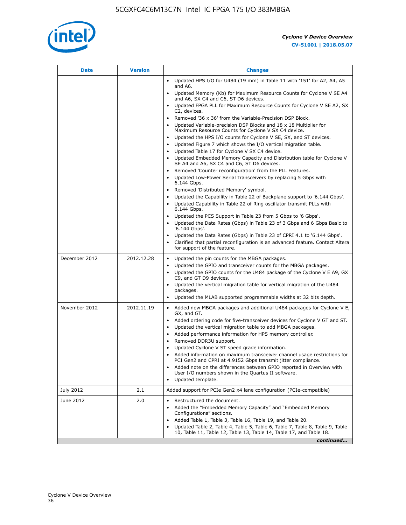

|               |            | <b>Changes</b>                                                                                                                                                                                                                                                                                                                                                                                                                                                                                                                                                                                                                                                                                                                                                                                                                                                                                                                                                                                                                                     |
|---------------|------------|----------------------------------------------------------------------------------------------------------------------------------------------------------------------------------------------------------------------------------------------------------------------------------------------------------------------------------------------------------------------------------------------------------------------------------------------------------------------------------------------------------------------------------------------------------------------------------------------------------------------------------------------------------------------------------------------------------------------------------------------------------------------------------------------------------------------------------------------------------------------------------------------------------------------------------------------------------------------------------------------------------------------------------------------------|
|               |            | • Updated HPS I/O for U484 (19 mm) in Table 11 with '151' for A2, A4, A5<br>and A6.                                                                                                                                                                                                                                                                                                                                                                                                                                                                                                                                                                                                                                                                                                                                                                                                                                                                                                                                                                |
|               |            | • Updated Memory (Kb) for Maximum Resource Counts for Cyclone V SE A4<br>and A6, SX C4 and C6, ST D6 devices.                                                                                                                                                                                                                                                                                                                                                                                                                                                                                                                                                                                                                                                                                                                                                                                                                                                                                                                                      |
|               |            | Updated FPGA PLL for Maximum Resource Counts for Cyclone V SE A2, SX<br>C2, devices.                                                                                                                                                                                                                                                                                                                                                                                                                                                                                                                                                                                                                                                                                                                                                                                                                                                                                                                                                               |
|               |            | Removed '36 x 36' from the Variable-Precision DSP Block.<br>Updated Variable-precision DSP Blocks and 18 x 18 Multiplier for<br>Maximum Resource Counts for Cyclone V SX C4 device.<br>• Updated the HPS I/O counts for Cyclone V SE, SX, and ST devices.<br>Updated Figure 7 which shows the I/O vertical migration table.<br>Updated Table 17 for Cyclone V SX C4 device.<br>$\bullet$<br>• Updated Embedded Memory Capacity and Distribution table for Cyclone V<br>SE A4 and A6, SX C4 and C6, ST D6 devices.<br>Removed 'Counter reconfiguration' from the PLL Features.<br>Updated Low-Power Serial Transceivers by replacing 5 Gbps with<br>6.144 Gbps.<br>Removed 'Distributed Memory' symbol.<br>Updated the Capability in Table 22 of Backplane support to '6.144 Gbps'.<br>Updated Capability in Table 22 of Ring oscillator transmit PLLs with<br>6.144 Gbps.<br>Updated the PCS Support in Table 23 from 5 Gbps to '6 Gbps'.<br>Updated the Data Rates (Gbps) in Table 23 of 3 Gbps and 6 Gbps Basic to<br>$\bullet$<br>'6.144 Gbps'. |
|               |            | Updated the Data Rates (Gbps) in Table 23 of CPRI 4.1 to '6.144 Gbps'.<br>Clarified that partial reconfiguration is an advanced feature. Contact Altera<br>for support of the feature.                                                                                                                                                                                                                                                                                                                                                                                                                                                                                                                                                                                                                                                                                                                                                                                                                                                             |
| December 2012 | 2012.12.28 | Updated the pin counts for the MBGA packages.<br>$\bullet$<br>Updated the GPIO and transceiver counts for the MBGA packages.<br>$\bullet$<br>Updated the GPIO counts for the U484 package of the Cyclone V E A9, GX<br>C9, and GT D9 devices.<br>• Updated the vertical migration table for vertical migration of the U484<br>packages.<br>• Updated the MLAB supported programmable widths at 32 bits depth.                                                                                                                                                                                                                                                                                                                                                                                                                                                                                                                                                                                                                                      |
| November 2012 | 2012.11.19 | • Added new MBGA packages and additional U484 packages for Cyclone V E,<br>GX, and GT.<br>• Added ordering code for five-transceiver devices for Cyclone V GT and ST.<br>Updated the vertical migration table to add MBGA packages.<br>$\bullet$<br>Added performance information for HPS memory controller.<br>$\bullet$<br>Removed DDR3U support.<br>$\bullet$<br>Updated Cyclone V ST speed grade information.<br>Added information on maximum transceiver channel usage restrictions for<br>PCI Gen2 and CPRI at 4.9152 Gbps transmit jitter compliance.<br>Added note on the differences between GPIO reported in Overview with<br>User I/O numbers shown in the Quartus II software.<br>Updated template.                                                                                                                                                                                                                                                                                                                                    |
| July 2012     | 2.1        | Added support for PCIe Gen2 x4 lane configuration (PCIe-compatible)                                                                                                                                                                                                                                                                                                                                                                                                                                                                                                                                                                                                                                                                                                                                                                                                                                                                                                                                                                                |
| June 2012     | 2.0        | Restructured the document.<br>Added the "Embedded Memory Capacity" and "Embedded Memory<br>Configurations" sections.<br>Added Table 1, Table 3, Table 16, Table 19, and Table 20.<br>Updated Table 2, Table 4, Table 5, Table 6, Table 7, Table 8, Table 9, Table<br>10, Table 11, Table 12, Table 13, Table 14, Table 17, and Table 18.<br>continued                                                                                                                                                                                                                                                                                                                                                                                                                                                                                                                                                                                                                                                                                              |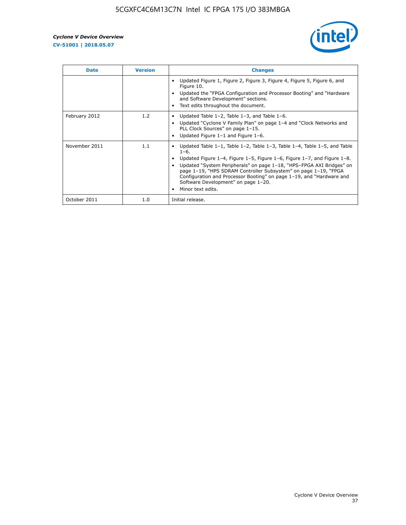

| <b>Date</b>   | <b>Version</b> | <b>Changes</b>                                                                                                                                                                                                                                                                                                                                                                                                                                                              |
|---------------|----------------|-----------------------------------------------------------------------------------------------------------------------------------------------------------------------------------------------------------------------------------------------------------------------------------------------------------------------------------------------------------------------------------------------------------------------------------------------------------------------------|
|               |                | Updated Figure 1, Figure 2, Figure 3, Figure 4, Figure 5, Figure 6, and<br>Figure 10.<br>Updated the "FPGA Configuration and Processor Booting" and "Hardware"<br>and Software Development" sections.<br>Text edits throughout the document.                                                                                                                                                                                                                                |
| February 2012 | 1.2            | Updated Table $1-2$ , Table $1-3$ , and Table $1-6$ .<br>Updated "Cyclone V Family Plan" on page 1-4 and "Clock Networks and<br>PLL Clock Sources" on page 1-15.<br>Updated Figure 1-1 and Figure 1-6.                                                                                                                                                                                                                                                                      |
| November 2011 | 1.1            | Updated Table $1-1$ , Table $1-2$ , Table $1-3$ , Table $1-4$ , Table $1-5$ , and Table<br>$1 - 6$ .<br>Updated Figure 1–4, Figure 1–5, Figure 1–6, Figure 1–7, and Figure 1–8.<br>Updated "System Peripherals" on page 1-18, "HPS-FPGA AXI Bridges" on<br>page 1-19, "HPS SDRAM Controller Subsystem" on page 1-19, "FPGA<br>Configuration and Processor Booting" on page 1-19, and "Hardware and<br>Software Development" on page 1-20.<br>Minor text edits.<br>$\bullet$ |
| October 2011  | 1.0            | Initial release.                                                                                                                                                                                                                                                                                                                                                                                                                                                            |